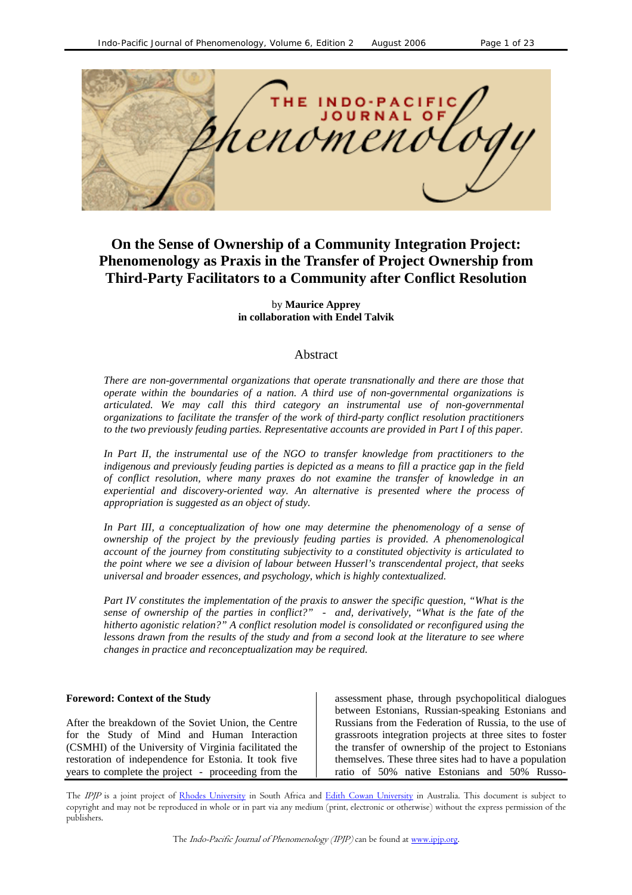

# **On the Sense of Ownership of a Community Integration Project: Phenomenology as Praxis in the Transfer of Project Ownership from Third-Party Facilitators to a Community after Conflict Resolution**

by **Maurice Apprey in collaboration with Endel Talvik** 

# Abstract

*There are non-governmental organizations that operate transnationally and there are those that operate within the boundaries of a nation. A third use of non-governmental organizations is articulated. We may call this third category an instrumental use of non-governmental organizations to facilitate the transfer of the work of third-party conflict resolution practitioners to the two previously feuding parties. Representative accounts are provided in Part I of this paper.* 

*In Part II, the instrumental use of the NGO to transfer knowledge from practitioners to the indigenous and previously feuding parties is depicted as a means to fill a practice gap in the field of conflict resolution, where many praxes do not examine the transfer of knowledge in an experiential and discovery-oriented way. An alternative is presented where the process of appropriation is suggested as an object of study.* 

*In Part III, a conceptualization of how one may determine the phenomenology of a sense of ownership of the project by the previously feuding parties is provided. A phenomenological account of the journey from constituting subjectivity to a constituted objectivity is articulated to the point where we see a division of labour between Husserl's transcendental project, that seeks universal and broader essences, and psychology, which is highly contextualized.* 

*Part IV constitutes the implementation of the praxis to answer the specific question, "What is the sense of ownership of the parties in conflict?" - and, derivatively, "What is the fate of the hitherto agonistic relation?" A conflict resolution model is consolidated or reconfigured using the lessons drawn from the results of the study and from a second look at the literature to see where changes in practice and reconceptualization may be required.* 

#### **Foreword: Context of the Study**

After the breakdown of the Soviet Union, the Centre for the Study of Mind and Human Interaction (CSMHI) of the University of Virginia facilitated the restoration of independence for Estonia. It took five years to complete the project - proceeding from the

assessment phase, through psychopolitical dialogues between Estonians, Russian-speaking Estonians and Russians from the Federation of Russia, to the use of grassroots integration projects at three sites to foster the transfer of ownership of the project to Estonians themselves. These three sites had to have a population ratio of 50% native Estonians and 50% Russo-

The IPJP is a joint project of Rhodes University in South Africa and Edith Cowan University in Australia. This document is subject to copyright and may not be reproduced in whole or in part via any medium (print, electronic or otherwise) without the express permission of the publishers.

The Indo-Pacific Journal of Phenomenology (IPJP) can be found at www.ipjp.org.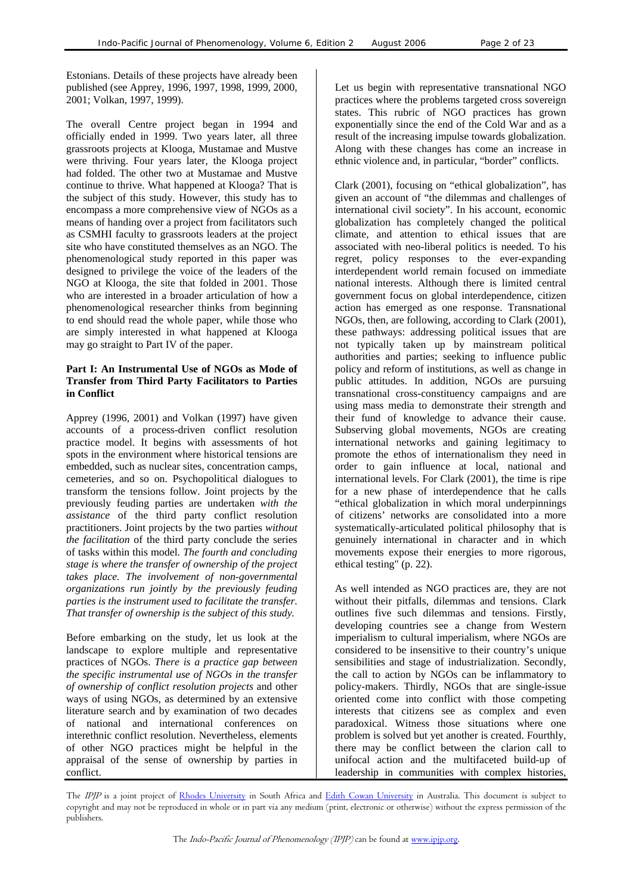Estonians. Details of these projects have already been published (see Apprey, 1996, 1997, 1998, 1999, 2000, 2001; Volkan, 1997, 1999).

The overall Centre project began in 1994 and officially ended in 1999. Two years later, all three grassroots projects at Klooga, Mustamae and Mustve were thriving. Four years later, the Klooga project had folded. The other two at Mustamae and Mustve continue to thrive. What happened at Klooga? That is the subject of this study. However, this study has to encompass a more comprehensive view of NGOs as a means of handing over a project from facilitators such as CSMHI faculty to grassroots leaders at the project site who have constituted themselves as an NGO. The phenomenological study reported in this paper was designed to privilege the voice of the leaders of the NGO at Klooga, the site that folded in 2001. Those who are interested in a broader articulation of how a phenomenological researcher thinks from beginning to end should read the whole paper, while those who are simply interested in what happened at Klooga may go straight to Part IV of the paper.

# **Part I: An Instrumental Use of NGOs as Mode of Transfer from Third Party Facilitators to Parties in Conflict**

Apprey (1996, 2001) and Volkan (1997) have given accounts of a process-driven conflict resolution practice model. It begins with assessments of hot spots in the environment where historical tensions are embedded, such as nuclear sites, concentration camps, cemeteries, and so on. Psychopolitical dialogues to transform the tensions follow. Joint projects by the previously feuding parties are undertaken *with the assistance* of the third party conflict resolution practitioners. Joint projects by the two parties *without the facilitation* of the third party conclude the series of tasks within this model. *The fourth and concluding stage is where the transfer of ownership of the project takes place. The involvement of non-governmental organizations run jointly by the previously feuding parties is the instrument used to facilitate the transfer. That transfer of ownership is the subject of this study.* 

Before embarking on the study, let us look at the landscape to explore multiple and representative practices of NGOs. *There is a practice gap between the specific instrumental use of NGOs in the transfer of ownership of conflict resolution projects* and other ways of using NGOs, as determined by an extensive literature search and by examination of two decades of national and international conferences on interethnic conflict resolution. Nevertheless, elements of other NGO practices might be helpful in the appraisal of the sense of ownership by parties in conflict.

Let us begin with representative transnational NGO practices where the problems targeted cross sovereign states. This rubric of NGO practices has grown exponentially since the end of the Cold War and as a result of the increasing impulse towards globalization. Along with these changes has come an increase in ethnic violence and, in particular, "border" conflicts.

Clark (2001), focusing on "ethical globalization", has given an account of "the dilemmas and challenges of international civil society". In his account, economic globalization has completely changed the political climate, and attention to ethical issues that are associated with neo-liberal politics is needed. To his regret, policy responses to the ever-expanding interdependent world remain focused on immediate national interests. Although there is limited central government focus on global interdependence, citizen action has emerged as one response. Transnational NGOs, then, are following, according to Clark (2001), these pathways: addressing political issues that are not typically taken up by mainstream political authorities and parties; seeking to influence public policy and reform of institutions, as well as change in public attitudes. In addition, NGOs are pursuing transnational cross-constituency campaigns and are using mass media to demonstrate their strength and their fund of knowledge to advance their cause. Subserving global movements, NGOs are creating international networks and gaining legitimacy to promote the ethos of internationalism they need in order to gain influence at local, national and international levels. For Clark (2001), the time is ripe for a new phase of interdependence that he calls "ethical globalization in which moral underpinnings of citizens' networks are consolidated into a more systematically-articulated political philosophy that is genuinely international in character and in which movements expose their energies to more rigorous, ethical testing" (p. 22).

As well intended as NGO practices are, they are not without their pitfalls, dilemmas and tensions. Clark outlines five such dilemmas and tensions. Firstly, developing countries see a change from Western imperialism to cultural imperialism, where NGOs are considered to be insensitive to their country's unique sensibilities and stage of industrialization. Secondly, the call to action by NGOs can be inflammatory to policy-makers. Thirdly, NGOs that are single-issue oriented come into conflict with those competing interests that citizens see as complex and even paradoxical. Witness those situations where one problem is solved but yet another is created. Fourthly, there may be conflict between the clarion call to unifocal action and the multifaceted build-up of leadership in communities with complex histories,

The IPJP is a joint project of Rhodes University in South Africa and Edith Cowan University in Australia. This document is subject to copyright and may not be reproduced in whole or in part via any medium (print, electronic or otherwise) without the express permission of the publishers.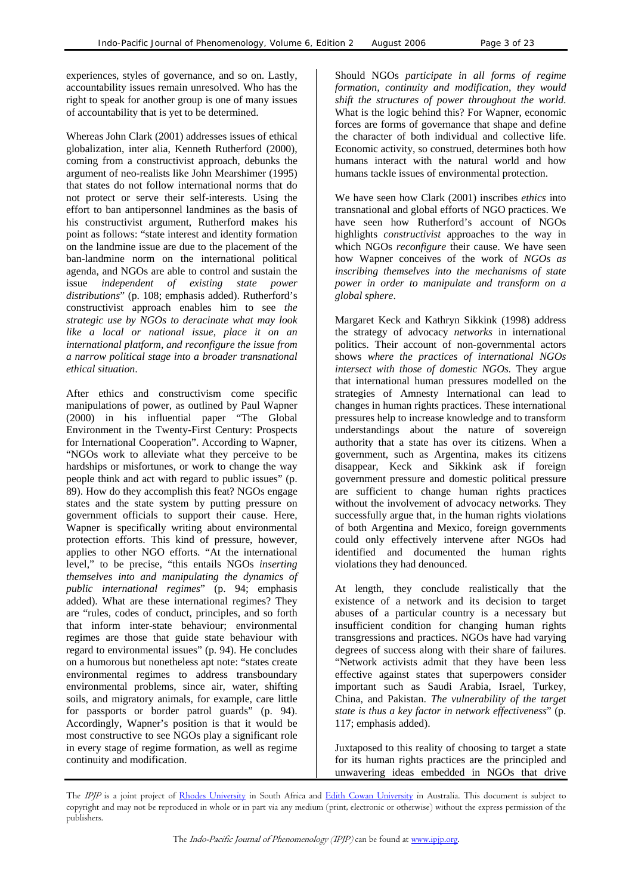experiences, styles of governance, and so on. Lastly, accountability issues remain unresolved. Who has the right to speak for another group is one of many issues of accountability that is yet to be determined.

Whereas John Clark (2001) addresses issues of ethical globalization, inter alia, Kenneth Rutherford (2000), coming from a constructivist approach, debunks the argument of neo-realists like John Mearshimer (1995) that states do not follow international norms that do not protect or serve their self-interests. Using the effort to ban antipersonnel landmines as the basis of his constructivist argument, Rutherford makes his point as follows: "state interest and identity formation on the landmine issue are due to the placement of the ban-landmine norm on the international political agenda, and NGOs are able to control and sustain the issue *independent of existing state power distributions*" (p. 108; emphasis added). Rutherford's constructivist approach enables him to see *the strategic use by NGOs to deracinate what may look like a local or national issue, place it on an international platform, and reconfigure the issue from a narrow political stage into a broader transnational ethical situation*.

After ethics and constructivism come specific manipulations of power, as outlined by Paul Wapner (2000) in his influential paper "The Global Environment in the Twenty-First Century: Prospects for International Cooperation". According to Wapner, "NGOs work to alleviate what they perceive to be hardships or misfortunes, or work to change the way people think and act with regard to public issues" (p. 89). How do they accomplish this feat? NGOs engage states and the state system by putting pressure on government officials to support their cause. Here, Wapner is specifically writing about environmental protection efforts. This kind of pressure, however, applies to other NGO efforts. "At the international level," to be precise, "this entails NGOs *inserting themselves into and manipulating the dynamics of public international regimes*" (p. 94; emphasis added). What are these international regimes? They are "rules, codes of conduct, principles, and so forth that inform inter-state behaviour; environmental regimes are those that guide state behaviour with regard to environmental issues" (p. 94). He concludes on a humorous but nonetheless apt note: "states create environmental regimes to address transboundary environmental problems, since air, water, shifting soils, and migratory animals, for example, care little for passports or border patrol guards" (p. 94). Accordingly, Wapner's position is that it would be most constructive to see NGOs play a significant role in every stage of regime formation, as well as regime continuity and modification.

Should NGOs *participate in all forms of regime formation, continuity and modification, they would shift the structures of power throughout the world*. What is the logic behind this? For Wapner, economic forces are forms of governance that shape and define the character of both individual and collective life. Economic activity, so construed, determines both how humans interact with the natural world and how humans tackle issues of environmental protection.

We have seen how Clark (2001) inscribes *ethics* into transnational and global efforts of NGO practices. We have seen how Rutherford's account of NGOs highlights *constructivist* approaches to the way in which NGOs *reconfigure* their cause. We have seen how Wapner conceives of the work of *NGOs as inscribing themselves into the mechanisms of state power in order to manipulate and transform on a global sphere*.

Margaret Keck and Kathryn Sikkink (1998) address the strategy of advocacy *networks* in international politics. Their account of non-governmental actors shows *where the practices of international NGOs intersect with those of domestic NGOs.* They argue that international human pressures modelled on the strategies of Amnesty International can lead to changes in human rights practices. These international pressures help to increase knowledge and to transform understandings about the nature of sovereign authority that a state has over its citizens. When a government, such as Argentina, makes its citizens disappear, Keck and Sikkink ask if foreign government pressure and domestic political pressure are sufficient to change human rights practices without the involvement of advocacy networks. They successfully argue that, in the human rights violations of both Argentina and Mexico, foreign governments could only effectively intervene after NGOs had identified and documented the human rights violations they had denounced.

At length, they conclude realistically that the existence of a network and its decision to target abuses of a particular country is a necessary but insufficient condition for changing human rights transgressions and practices. NGOs have had varying degrees of success along with their share of failures. "Network activists admit that they have been less effective against states that superpowers consider important such as Saudi Arabia, Israel, Turkey, China, and Pakistan. *The vulnerability of the target state is thus a key factor in network effectiveness*" (p. 117; emphasis added).

Juxtaposed to this reality of choosing to target a state for its human rights practices are the principled and unwavering ideas embedded in NGOs that drive

The IPJP is a joint project of Rhodes University in South Africa and Edith Cowan University in Australia. This document is subject to copyright and may not be reproduced in whole or in part via any medium (print, electronic or otherwise) without the express permission of the publishers.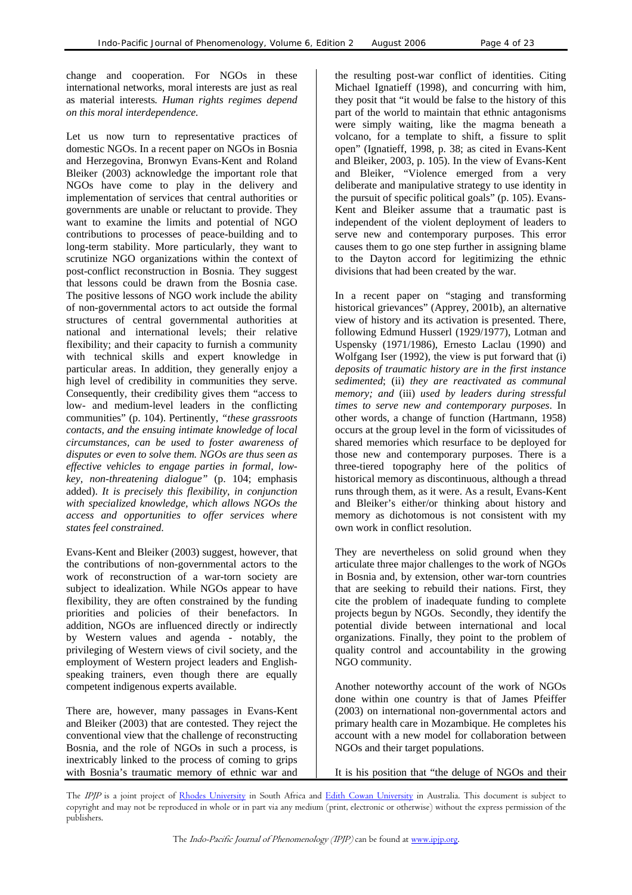change and cooperation. For NGOs in these international networks, moral interests are just as real as material interests*. Human rights regimes depend on this moral interdependence.*

Let us now turn to representative practices of domestic NGOs. In a recent paper on NGOs in Bosnia and Herzegovina, Bronwyn Evans-Kent and Roland Bleiker (2003) acknowledge the important role that NGOs have come to play in the delivery and implementation of services that central authorities or governments are unable or reluctant to provide. They want to examine the limits and potential of NGO contributions to processes of peace-building and to long-term stability. More particularly, they want to scrutinize NGO organizations within the context of post-conflict reconstruction in Bosnia. They suggest that lessons could be drawn from the Bosnia case. The positive lessons of NGO work include the ability of non-governmental actors to act outside the formal structures of central governmental authorities at national and international levels; their relative flexibility; and their capacity to furnish a community with technical skills and expert knowledge in particular areas. In addition, they generally enjoy a high level of credibility in communities they serve. Consequently, their credibility gives them "access to low- and medium-level leaders in the conflicting communities" (p. 104). Pertinently, *"these grassroots contacts, and the ensuing intimate knowledge of local circumstances, can be used to foster awareness of disputes or even to solve them. NGOs are thus seen as effective vehicles to engage parties in formal, lowkey, non-threatening dialogue"* (p. 104; emphasis added). *It is precisely this flexibility, in conjunction with specialized knowledge, which allows NGOs the access and opportunities to offer services where states feel constrained*.

Evans-Kent and Bleiker (2003) suggest, however, that the contributions of non-governmental actors to the work of reconstruction of a war-torn society are subject to idealization. While NGOs appear to have flexibility, they are often constrained by the funding priorities and policies of their benefactors. In addition, NGOs are influenced directly or indirectly by Western values and agenda - notably, the privileging of Western views of civil society, and the employment of Western project leaders and Englishspeaking trainers, even though there are equally competent indigenous experts available.

There are, however, many passages in Evans-Kent and Bleiker (2003) that are contested. They reject the conventional view that the challenge of reconstructing Bosnia, and the role of NGOs in such a process, is inextricably linked to the process of coming to grips with Bosnia's traumatic memory of ethnic war and

the resulting post-war conflict of identities. Citing Michael Ignatieff (1998), and concurring with him, they posit that "it would be false to the history of this part of the world to maintain that ethnic antagonisms were simply waiting, like the magma beneath a volcano, for a template to shift, a fissure to split open" (Ignatieff, 1998, p. 38; as cited in Evans-Kent and Bleiker, 2003, p. 105). In the view of Evans-Kent and Bleiker, "Violence emerged from a very deliberate and manipulative strategy to use identity in the pursuit of specific political goals" (p. 105). Evans-Kent and Bleiker assume that a traumatic past is independent of the violent deployment of leaders to serve new and contemporary purposes. This error causes them to go one step further in assigning blame to the Dayton accord for legitimizing the ethnic divisions that had been created by the war.

In a recent paper on "staging and transforming historical grievances" (Apprey, 2001b), an alternative view of history and its activation is presented. There, following Edmund Husserl (1929/1977), Lotman and Uspensky (1971/1986), Ernesto Laclau (1990) and Wolfgang Iser (1992), the view is put forward that (i) *deposits of traumatic history are in the first instance sedimented*; (ii) *they are reactivated as communal memory; and* (iii) *used by leaders during stressful times to serve new and contemporary purposes*. In other words, a change of function (Hartmann, 1958) occurs at the group level in the form of vicissitudes of shared memories which resurface to be deployed for those new and contemporary purposes. There is a three-tiered topography here of the politics of historical memory as discontinuous, although a thread runs through them, as it were. As a result, Evans-Kent and Bleiker's either/or thinking about history and memory as dichotomous is not consistent with my own work in conflict resolution.

They are nevertheless on solid ground when they articulate three major challenges to the work of NGOs in Bosnia and, by extension, other war-torn countries that are seeking to rebuild their nations. First, they cite the problem of inadequate funding to complete projects begun by NGOs. Secondly, they identify the potential divide between international and local organizations. Finally, they point to the problem of quality control and accountability in the growing NGO community.

Another noteworthy account of the work of NGOs done within one country is that of James Pfeiffer (2003) on international non-governmental actors and primary health care in Mozambique. He completes his account with a new model for collaboration between NGOs and their target populations.

It is his position that "the deluge of NGOs and their

The IPJP is a joint project of Rhodes University in South Africa and Edith Cowan University in Australia. This document is subject to copyright and may not be reproduced in whole or in part via any medium (print, electronic or otherwise) without the express permission of the publishers.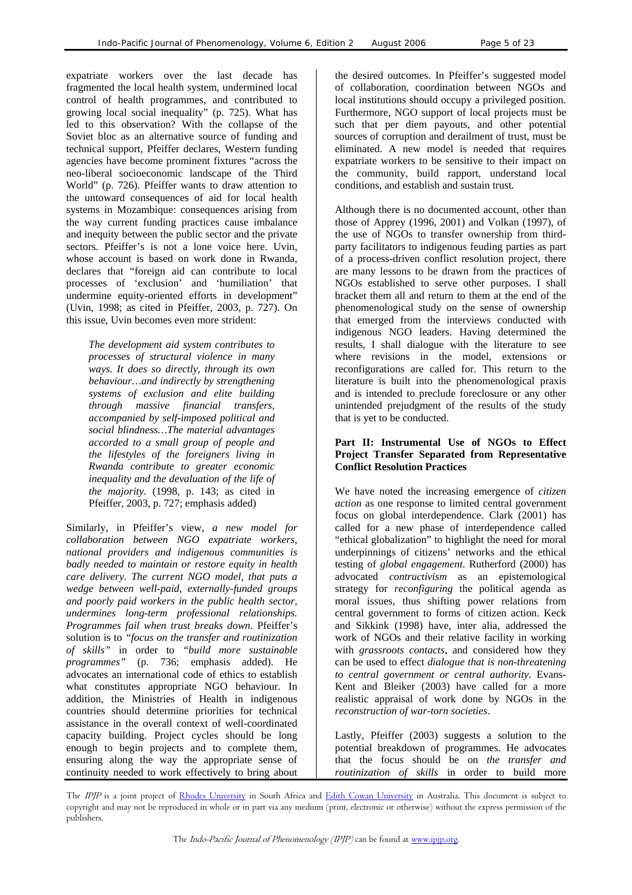expatriate workers over the last decade has fragmented the local health system, undermined local control of health programmes, and contributed to growing local social inequality" (p. 725). What has led to this observation? With the collapse of the Soviet bloc as an alternative source of funding and technical support, Pfeiffer declares, Western funding agencies have become prominent fixtures "across the neo-liberal socioeconomic landscape of the Third World" (p. 726). Pfeiffer wants to draw attention to the untoward consequences of aid for local health systems in Mozambique: consequences arising from the way current funding practices cause imbalance and inequity between the public sector and the private sectors. Pfeiffer's is not a lone voice here. Uvin, whose account is based on work done in Rwanda, declares that "foreign aid can contribute to local processes of 'exclusion' and 'humiliation' that undermine equity-oriented efforts in development" (Uvin, 1998; as cited in Pfeiffer, 2003, p. 727). On this issue, Uvin becomes even more strident:

*The development aid system contributes to processes of structural violence in many ways. It does so directly, through its own behaviour…and indirectly by strengthening systems of exclusion and elite building through massive financial transfers, accompanied by self-imposed political and social blindness…The material advantages accorded to a small group of people and the lifestyles of the foreigners living in Rwanda contribute to greater economic inequality and the devaluation of the life of the majority.* (1998, p. 143; as cited in Pfeiffer, 2003, p. 727; emphasis added)

Similarly, in Pfeiffer's view, *a new model for collaboration between NGO expatriate workers, national providers and indigenous communities is badly needed to maintain or restore equity in health care delivery. The current NGO model, that puts a wedge between well-paid, externally-funded groups and poorly paid workers in the public health sector, undermines long-term professional relationships. Programmes fail when trust breaks down*. Pfeiffer's solution is to *"focus on the transfer and routinization of skills"* in order to *"build more sustainable programmes"* (p. 736; emphasis added). He advocates an international code of ethics to establish what constitutes appropriate NGO behaviour. In addition, the Ministries of Health in indigenous countries should determine priorities for technical assistance in the overall context of well-coordinated capacity building. Project cycles should be long enough to begin projects and to complete them, ensuring along the way the appropriate sense of continuity needed to work effectively to bring about

the desired outcomes. In Pfeiffer's suggested model of collaboration, coordination between NGOs and local institutions should occupy a privileged position. Furthermore, NGO support of local projects must be such that per diem payouts, and other potential sources of corruption and derailment of trust, must be eliminated. A new model is needed that requires expatriate workers to be sensitive to their impact on the community, build rapport, understand local conditions, and establish and sustain trust.

Although there is no documented account, other than those of Apprey (1996, 2001) and Volkan (1997), of the use of NGOs to transfer ownership from thirdparty facilitators to indigenous feuding parties as part of a process-driven conflict resolution project, there are many lessons to be drawn from the practices of NGOs established to serve other purposes. I shall bracket them all and return to them at the end of the phenomenological study on the sense of ownership that emerged from the interviews conducted with indigenous NGO leaders. Having determined the results, I shall dialogue with the literature to see where revisions in the model, extensions or reconfigurations are called for. This return to the literature is built into the phenomenological praxis and is intended to preclude foreclosure or any other unintended prejudgment of the results of the study that is yet to be conducted.

# **Part II: Instrumental Use of NGOs to Effect Project Transfer Separated from Representative Conflict Resolution Practices**

We have noted the increasing emergence of *citizen action* as one response to limited central government focus on global interdependence. Clark (2001) has called for a new phase of interdependence called "ethical globalization" to highlight the need for moral underpinnings of citizens' networks and the ethical testing of *global engagement*. Rutherford (2000) has advocated *contructivism* as an epistemological strategy for *reconfiguring* the political agenda as moral issues, thus shifting power relations from central government to forms of citizen action. Keck and Sikkink (1998) have, inter alia, addressed the work of NGOs and their relative facility in working with *grassroots contacts*, and considered how they can be used to effect *dialogue that is non-threatening to central government or central authority*. Evans-Kent and Bleiker (2003) have called for a more realistic appraisal of work done by NGOs in the *reconstruction of war-torn societies*.

Lastly, Pfeiffer (2003) suggests a solution to the potential breakdown of programmes. He advocates that the focus should be on *the transfer and routinization of skills* in order to build more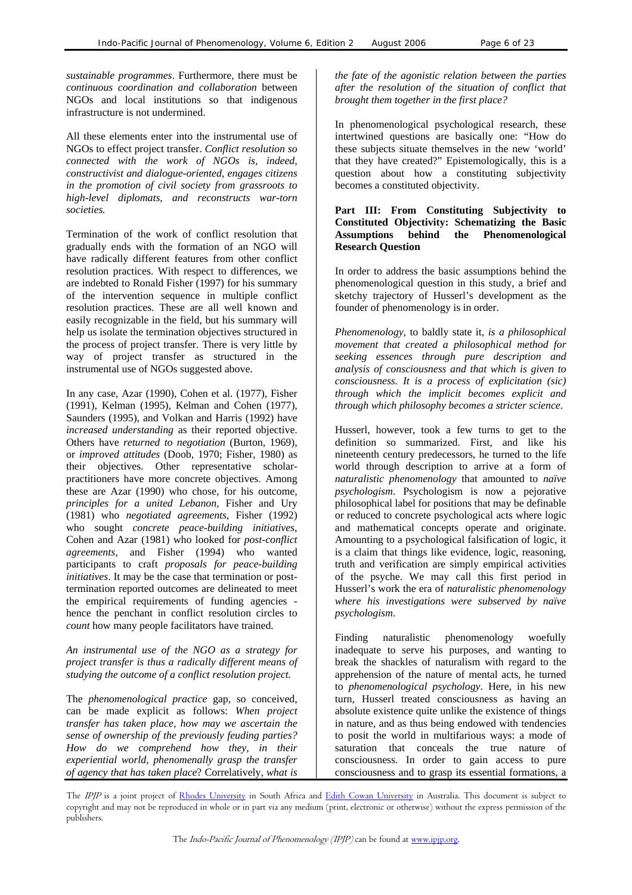*sustainable programmes*. Furthermore, there must be *continuous coordination and collaboration* between NGOs and local institutions so that indigenous infrastructure is not undermined.

All these elements enter into the instrumental use of NGOs to effect project transfer. *Conflict resolution so connected with the work of NGOs is, indeed, constructivist and dialogue-oriented, engages citizens in the promotion of civil society from grassroots to high-level diplomats, and reconstructs war-torn societies.* 

Termination of the work of conflict resolution that gradually ends with the formation of an NGO will have radically different features from other conflict resolution practices. With respect to differences, we are indebted to Ronald Fisher (1997) for his summary of the intervention sequence in multiple conflict resolution practices. These are all well known and easily recognizable in the field, but his summary will help us isolate the termination objectives structured in the process of project transfer. There is very little by way of project transfer as structured in the instrumental use of NGOs suggested above.

In any case, Azar (1990), Cohen et al. (1977), Fisher (1991), Kelman (1995), Kelman and Cohen (1977), Saunders (1995), and Volkan and Harris (1992) have *increased understanding* as their reported objective. Others have *returned to negotiation* (Burton, 1969), or *improved attitudes* (Doob, 1970; Fisher, 1980) as their objectives. Other representative scholarpractitioners have more concrete objectives. Among these are Azar (1990) who chose, for his outcome, *principles for a united Lebanon*, Fisher and Ury (1981) who *negotiated agreements*, Fisher (1992) who sought *concrete peace-building initiatives*, Cohen and Azar (1981) who looked for *post-conflict agreements*, and Fisher (1994) who wanted participants to craft *proposals for peace-building initiatives*. It may be the case that termination or posttermination reported outcomes are delineated to meet the empirical requirements of funding agencies hence the penchant in conflict resolution circles to *count* how many people facilitators have trained.

*An instrumental use of the NGO as a strategy for project transfer is thus a radically different means of studying the outcome of a conflict resolution project.* 

The *phenomenological practice* gap, so conceived, can be made explicit as follows: *When project transfer has taken place, how may we ascertain the sense of ownership of the previously feuding parties? How do we comprehend how they, in their experiential world, phenomenally grasp the transfer of agency that has taken place*? Correlatively, *what is*

*the fate of the agonistic relation between the parties after the resolution of the situation of conflict that brought them together in the first place?*

In phenomenological psychological research, these intertwined questions are basically one: "How do these subjects situate themselves in the new 'world' that they have created?" Epistemologically, this is a question about how a constituting subjectivity becomes a constituted objectivity.

# **Part III: From Constituting Subjectivity to Constituted Objectivity: Schematizing the Basic Assumptions behind the Phenomenological Research Question**

In order to address the basic assumptions behind the phenomenological question in this study, a brief and sketchy trajectory of Husserl's development as the founder of phenomenology is in order.

*Phenomenology*, to baldly state it, *is a philosophical movement that created a philosophical method for seeking essences through pure description and analysis of consciousness and that which is given to consciousness. It is a process of explicitation (sic) through which the implicit becomes explicit and through which philosophy becomes a stricter science*.

Husserl, however, took a few turns to get to the definition so summarized. First, and like his nineteenth century predecessors, he turned to the life world through description to arrive at a form of *naturalistic phenomenology* that amounted to *naïve psychologism*. Psychologism is now a pejorative philosophical label for positions that may be definable or reduced to concrete psychological acts where logic and mathematical concepts operate and originate. Amounting to a psychological falsification of logic, it is a claim that things like evidence, logic, reasoning, truth and verification are simply empirical activities of the psyche. We may call this first period in Husserl's work the era of *naturalistic phenomenology where his investigations were subserved by naïve psychologism*.

Finding naturalistic phenomenology woefully inadequate to serve his purposes, and wanting to break the shackles of naturalism with regard to the apprehension of the nature of mental acts, he turned to *phenomenological psychology*. Here, in his new turn, Husserl treated consciousness as having an absolute existence quite unlike the existence of things in nature, and as thus being endowed with tendencies to posit the world in multifarious ways: a mode of saturation that conceals the true nature of consciousness. In order to gain access to pure consciousness and to grasp its essential formations, a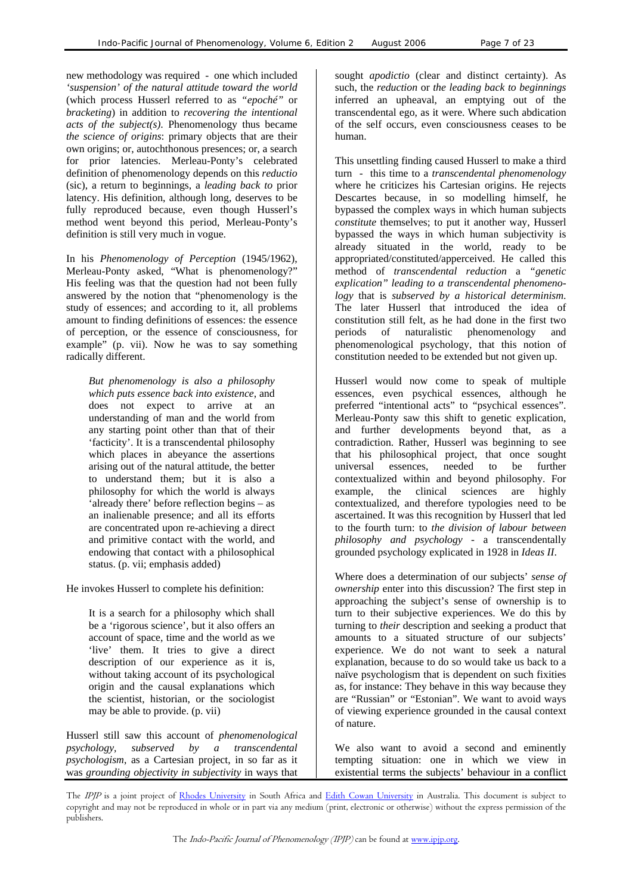new methodology was required - one which included *'suspension' of the natural attitude toward the world* (which process Husserl referred to as *"epoché"* or *bracketing*) in addition to *recovering the intentional acts of the subject(s)*. Phenomenology thus became *the science of origins*: primary objects that are their own origins; or, autochthonous presences; or, a search for prior latencies. Merleau-Ponty's celebrated definition of phenomenology depends on this *reductio*  (sic), a return to beginnings, a *leading back to* prior latency. His definition, although long, deserves to be fully reproduced because, even though Husserl's method went beyond this period, Merleau-Ponty's definition is still very much in vogue.

In his *Phenomenology of Perception* (1945/1962), Merleau-Ponty asked, "What is phenomenology?" His feeling was that the question had not been fully answered by the notion that "phenomenology is the study of essences; and according to it, all problems amount to finding definitions of essences: the essence of perception, or the essence of consciousness, for example" (p. vii). Now he was to say something radically different.

*But phenomenology is also a philosophy which puts essence back into existence*, and does not expect to arrive at an understanding of man and the world from any starting point other than that of their 'facticity'. It is a transcendental philosophy which places in abeyance the assertions arising out of the natural attitude, the better to understand them; but it is also a philosophy for which the world is always 'already there' before reflection begins – as an inalienable presence; and all its efforts are concentrated upon re-achieving a direct and primitive contact with the world, and endowing that contact with a philosophical status. (p. vii; emphasis added)

He invokes Husserl to complete his definition:

It is a search for a philosophy which shall be a 'rigorous science', but it also offers an account of space, time and the world as we 'live' them. It tries to give a direct description of our experience as it is, without taking account of its psychological origin and the causal explanations which the scientist, historian, or the sociologist may be able to provide. (p. vii)

Husserl still saw this account of *phenomenological psychology, subserved by a transcendental psychologism*, as a Cartesian project, in so far as it was *grounding objectivity in subjectivity* in ways that

sought *apodictio* (clear and distinct certainty). As such, the *reduction* or *the leading back to beginnings* inferred an upheaval, an emptying out of the transcendental ego, as it were. Where such abdication of the self occurs, even consciousness ceases to be human.

This unsettling finding caused Husserl to make a third turn - this time to a *transcendental phenomenology*  where he criticizes his Cartesian origins. He rejects Descartes because, in so modelling himself, he bypassed the complex ways in which human subjects *constitute* themselves; to put it another way, Husserl bypassed the ways in which human subjectivity is already situated in the world, ready to be appropriated/constituted/apperceived. He called this method of *transcendental reduction* a *"genetic explication" leading to a transcendental phenomenology* that is *subserved by a historical determinism*. The later Husserl that introduced the idea of constitution still felt, as he had done in the first two periods of naturalistic phenomenology and phenomenological psychology, that this notion of constitution needed to be extended but not given up.

Husserl would now come to speak of multiple essences, even psychical essences, although he preferred "intentional acts" to "psychical essences". Merleau-Ponty saw this shift to genetic explication, and further developments beyond that, as a contradiction. Rather, Husserl was beginning to see that his philosophical project, that once sought universal essences, needed to be contextualized within and beyond philosophy. For example, the clinical sciences are highly contextualized, and therefore typologies need to be ascertained. It was this recognition by Husserl that led to the fourth turn: to *the division of labour between philosophy and psychology -* a transcendentally grounded psychology explicated in 1928 in *Ideas II*.

Where does a determination of our subjects' *sense of ownership* enter into this discussion? The first step in approaching the subject's sense of ownership is to turn to their subjective experiences. We do this by turning to *their* description and seeking a product that amounts to a situated structure of our subjects' experience. We do not want to seek a natural explanation, because to do so would take us back to a naïve psychologism that is dependent on such fixities as, for instance: They behave in this way because they are "Russian" or "Estonian". We want to avoid ways of viewing experience grounded in the causal context of nature.

We also want to avoid a second and eminently tempting situation: one in which we view in existential terms the subjects' behaviour in a conflict

The IPJP is a joint project of Rhodes University in South Africa and Edith Cowan University in Australia. This document is subject to copyright and may not be reproduced in whole or in part via any medium (print, electronic or otherwise) without the express permission of the publishers.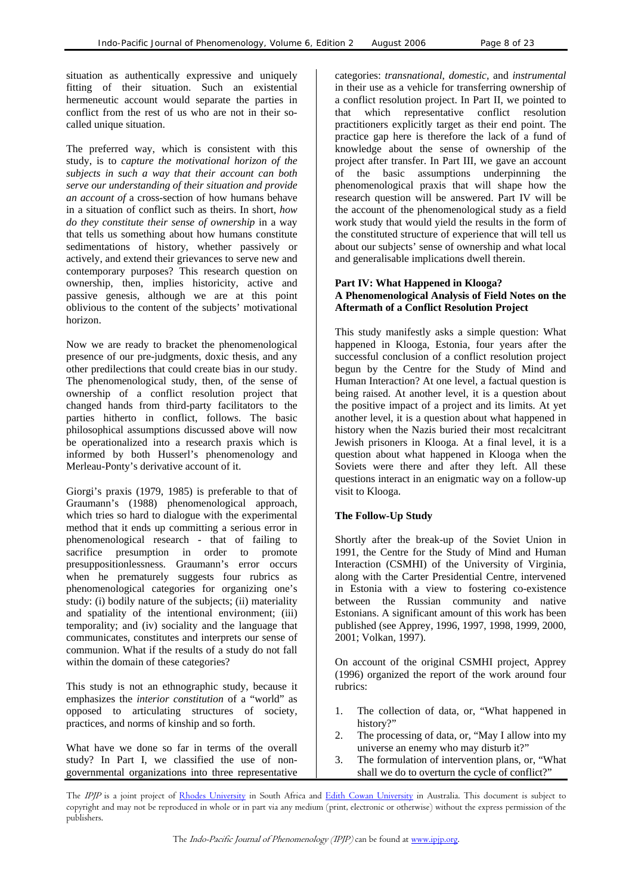situation as authentically expressive and uniquely fitting of their situation. Such an existential hermeneutic account would separate the parties in conflict from the rest of us who are not in their socalled unique situation.

The preferred way, which is consistent with this study, is to *capture the motivational horizon of the subjects in such a way that their account can both serve our understanding of their situation and provide an account of* a cross-section of how humans behave in a situation of conflict such as theirs. In short, *how do they constitute their sense of ownership* in a way that tells us something about how humans constitute sedimentations of history, whether passively or actively, and extend their grievances to serve new and contemporary purposes? This research question on ownership, then, implies historicity, active and passive genesis, although we are at this point oblivious to the content of the subjects' motivational horizon.

Now we are ready to bracket the phenomenological presence of our pre-judgments, doxic thesis, and any other predilections that could create bias in our study. The phenomenological study, then, of the sense of ownership of a conflict resolution project that changed hands from third-party facilitators to the parties hitherto in conflict, follows. The basic philosophical assumptions discussed above will now be operationalized into a research praxis which is informed by both Husserl's phenomenology and Merleau-Ponty's derivative account of it.

Giorgi's praxis (1979, 1985) is preferable to that of Graumann's (1988) phenomenological approach, which tries so hard to dialogue with the experimental method that it ends up committing a serious error in phenomenological research - that of failing to sacrifice presumption in order to promote presuppositionlessness. Graumann's error occurs when he prematurely suggests four rubrics as phenomenological categories for organizing one's study: (i) bodily nature of the subjects; (ii) materiality and spatiality of the intentional environment; (iii) temporality; and (iv) sociality and the language that communicates, constitutes and interprets our sense of communion. What if the results of a study do not fall within the domain of these categories?

This study is not an ethnographic study, because it emphasizes the *interior constitution* of a "world" as opposed to articulating structures of society, practices, and norms of kinship and so forth.

What have we done so far in terms of the overall study? In Part I, we classified the use of nongovernmental organizations into three representative categories: *transnational*, *domestic,* and *instrumental* in their use as a vehicle for transferring ownership of a conflict resolution project. In Part II, we pointed to that which representative conflict resolution practitioners explicitly target as their end point. The practice gap here is therefore the lack of a fund of knowledge about the sense of ownership of the project after transfer. In Part III, we gave an account of the basic assumptions underpinning the phenomenological praxis that will shape how the research question will be answered. Part IV will be the account of the phenomenological study as a field work study that would yield the results in the form of the constituted structure of experience that will tell us about our subjects' sense of ownership and what local and generalisable implications dwell therein.

# **Part IV: What Happened in Klooga? A Phenomenological Analysis of Field Notes on the Aftermath of a Conflict Resolution Project**

This study manifestly asks a simple question: What happened in Klooga, Estonia, four years after the successful conclusion of a conflict resolution project begun by the Centre for the Study of Mind and Human Interaction? At one level, a factual question is being raised. At another level, it is a question about the positive impact of a project and its limits. At yet another level, it is a question about what happened in history when the Nazis buried their most recalcitrant Jewish prisoners in Klooga. At a final level, it is a question about what happened in Klooga when the Soviets were there and after they left. All these questions interact in an enigmatic way on a follow-up visit to Klooga.

## **The Follow-Up Study**

Shortly after the break-up of the Soviet Union in 1991, the Centre for the Study of Mind and Human Interaction (CSMHI) of the University of Virginia, along with the Carter Presidential Centre, intervened in Estonia with a view to fostering co-existence between the Russian community and native Estonians. A significant amount of this work has been published (see Apprey, 1996, 1997, 1998, 1999, 2000, 2001; Volkan, 1997).

On account of the original CSMHI project, Apprey (1996) organized the report of the work around four rubrics:

- 1. The collection of data, or, "What happened in history?"
- 2. The processing of data, or, "May I allow into my universe an enemy who may disturb it?"
- 3. The formulation of intervention plans, or, "What shall we do to overturn the cycle of conflict?"

The IPJP is a joint project of Rhodes University in South Africa and Edith Cowan University in Australia. This document is subject to copyright and may not be reproduced in whole or in part via any medium (print, electronic or otherwise) without the express permission of the publishers.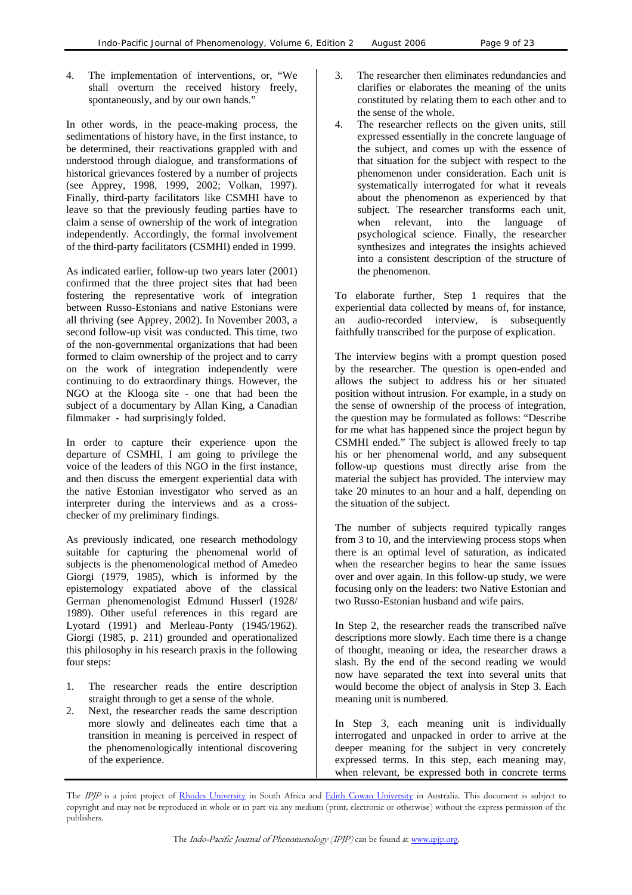4. The implementation of interventions, or, "We shall overturn the received history freely, spontaneously, and by our own hands."

In other words, in the peace-making process, the sedimentations of history have, in the first instance, to be determined, their reactivations grappled with and understood through dialogue, and transformations of historical grievances fostered by a number of projects (see Apprey, 1998, 1999, 2002; Volkan, 1997). Finally, third-party facilitators like CSMHI have to leave so that the previously feuding parties have to claim a sense of ownership of the work of integration independently. Accordingly, the formal involvement of the third-party facilitators (CSMHI) ended in 1999.

As indicated earlier, follow-up two years later (2001) confirmed that the three project sites that had been fostering the representative work of integration between Russo-Estonians and native Estonians were all thriving (see Apprey, 2002). In November 2003, a second follow-up visit was conducted. This time, two of the non-governmental organizations that had been formed to claim ownership of the project and to carry on the work of integration independently were continuing to do extraordinary things. However, the NGO at the Klooga site - one that had been the subject of a documentary by Allan King, a Canadian filmmaker - had surprisingly folded.

In order to capture their experience upon the departure of CSMHI, I am going to privilege the voice of the leaders of this NGO in the first instance, and then discuss the emergent experiential data with the native Estonian investigator who served as an interpreter during the interviews and as a crosschecker of my preliminary findings.

As previously indicated, one research methodology suitable for capturing the phenomenal world of subjects is the phenomenological method of Amedeo Giorgi (1979, 1985), which is informed by the epistemology expatiated above of the classical German phenomenologist Edmund Husserl (1928/ 1989). Other useful references in this regard are Lyotard (1991) and Merleau-Ponty (1945/1962). Giorgi (1985, p. 211) grounded and operationalized this philosophy in his research praxis in the following four steps:

- 1. The researcher reads the entire description straight through to get a sense of the whole.
- 2. Next, the researcher reads the same description more slowly and delineates each time that a transition in meaning is perceived in respect of the phenomenologically intentional discovering of the experience.
- 3. The researcher then eliminates redundancies and clarifies or elaborates the meaning of the units constituted by relating them to each other and to the sense of the whole.
- 4. The researcher reflects on the given units, still expressed essentially in the concrete language of the subject, and comes up with the essence of that situation for the subject with respect to the phenomenon under consideration. Each unit is systematically interrogated for what it reveals about the phenomenon as experienced by that subject. The researcher transforms each unit, when relevant, into the language of psychological science. Finally, the researcher synthesizes and integrates the insights achieved into a consistent description of the structure of the phenomenon.

To elaborate further, Step 1 requires that the experiential data collected by means of, for instance, an audio-recorded interview, is subsequently faithfully transcribed for the purpose of explication.

The interview begins with a prompt question posed by the researcher. The question is open-ended and allows the subject to address his or her situated position without intrusion. For example, in a study on the sense of ownership of the process of integration, the question may be formulated as follows: "Describe for me what has happened since the project begun by CSMHI ended." The subject is allowed freely to tap his or her phenomenal world, and any subsequent follow-up questions must directly arise from the material the subject has provided. The interview may take 20 minutes to an hour and a half, depending on the situation of the subject.

The number of subjects required typically ranges from 3 to 10, and the interviewing process stops when there is an optimal level of saturation, as indicated when the researcher begins to hear the same issues over and over again. In this follow-up study, we were focusing only on the leaders: two Native Estonian and two Russo-Estonian husband and wife pairs.

In Step 2, the researcher reads the transcribed naïve descriptions more slowly. Each time there is a change of thought, meaning or idea, the researcher draws a slash. By the end of the second reading we would now have separated the text into several units that would become the object of analysis in Step 3. Each meaning unit is numbered.

In Step 3, each meaning unit is individually interrogated and unpacked in order to arrive at the deeper meaning for the subject in very concretely expressed terms. In this step, each meaning may, when relevant, be expressed both in concrete terms

The IPJP is a joint project of Rhodes University in South Africa and Edith Cowan University in Australia. This document is subject to copyright and may not be reproduced in whole or in part via any medium (print, electronic or otherwise) without the express permission of the publishers.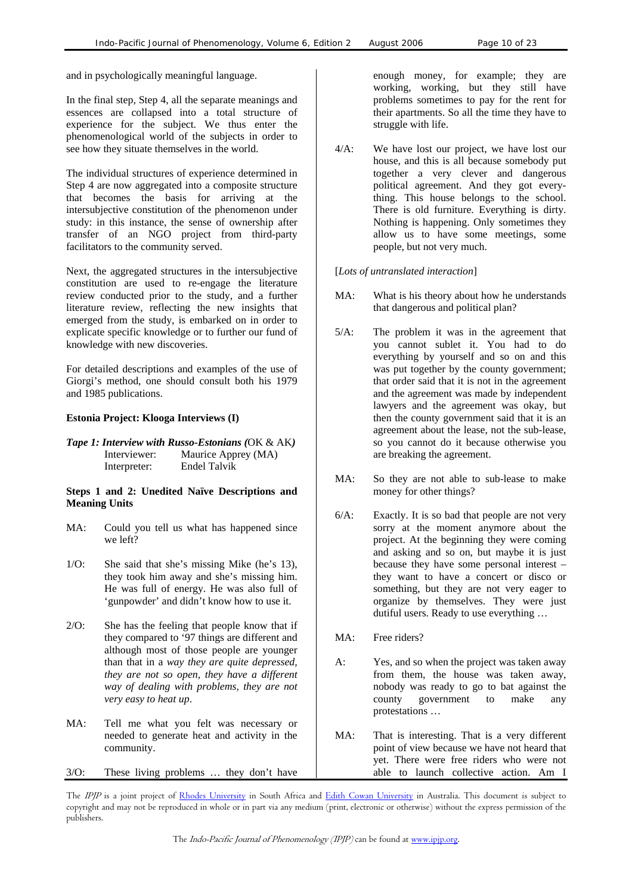and in psychologically meaningful language.

In the final step, Step 4, all the separate meanings and essences are collapsed into a total structure of experience for the subject. We thus enter the phenomenological world of the subjects in order to see how they situate themselves in the world.

The individual structures of experience determined in Step 4 are now aggregated into a composite structure that becomes the basis for arriving at the intersubjective constitution of the phenomenon under study: in this instance, the sense of ownership after transfer of an NGO project from third-party facilitators to the community served.

Next, the aggregated structures in the intersubjective constitution are used to re-engage the literature review conducted prior to the study, and a further literature review, reflecting the new insights that emerged from the study, is embarked on in order to explicate specific knowledge or to further our fund of knowledge with new discoveries.

For detailed descriptions and examples of the use of Giorgi's method, one should consult both his 1979 and 1985 publications.

#### **Estonia Project: Klooga Interviews (I)**

*Tape 1: Interview with Russo-Estonians (*OK & AK*)*  Interviewer: Maurice Apprey (MA) Interpreter: Endel Talvik

#### **Steps 1 and 2: Unedited Naïve Descriptions and Meaning Units**

- MA: Could you tell us what has happened since we left?
- 1/O: She said that she's missing Mike (he's 13), they took him away and she's missing him. He was full of energy. He was also full of 'gunpowder' and didn't know how to use it.
- 2/O: She has the feeling that people know that if they compared to '97 things are different and although most of those people are younger than that in a *way they are quite depressed, they are not so open, they have a different way of dealing with problems, they are not very easy to heat up*.
- MA: Tell me what you felt was necessary or needed to generate heat and activity in the community.
- 3/O: These living problems … they don't have

enough money, for example; they are working, working, but they still have problems sometimes to pay for the rent for their apartments. So all the time they have to struggle with life.

4/A: We have lost our project, we have lost our house, and this is all because somebody put together a very clever and dangerous political agreement. And they got everything. This house belongs to the school. There is old furniture. Everything is dirty. Nothing is happening. Only sometimes they allow us to have some meetings, some people, but not very much.

[*Lots of untranslated interaction*]

- MA: What is his theory about how he understands that dangerous and political plan?
- 5/A: The problem it was in the agreement that you cannot sublet it. You had to do everything by yourself and so on and this was put together by the county government; that order said that it is not in the agreement and the agreement was made by independent lawyers and the agreement was okay, but then the county government said that it is an agreement about the lease, not the sub-lease, so you cannot do it because otherwise you are breaking the agreement.
- MA: So they are not able to sub-lease to make money for other things?
- 6/A: Exactly. It is so bad that people are not very sorry at the moment anymore about the project. At the beginning they were coming and asking and so on, but maybe it is just because they have some personal interest – they want to have a concert or disco or something, but they are not very eager to organize by themselves. They were just dutiful users. Ready to use everything …
- MA: Free riders?
- A: Yes, and so when the project was taken away from them, the house was taken away, nobody was ready to go to bat against the county government to make any protestations …
- MA: That is interesting. That is a very different point of view because we have not heard that yet. There were free riders who were not able to launch collective action. Am I

The IPJP is a joint project of Rhodes University in South Africa and Edith Cowan University in Australia. This document is subject to copyright and may not be reproduced in whole or in part via any medium (print, electronic or otherwise) without the express permission of the publishers.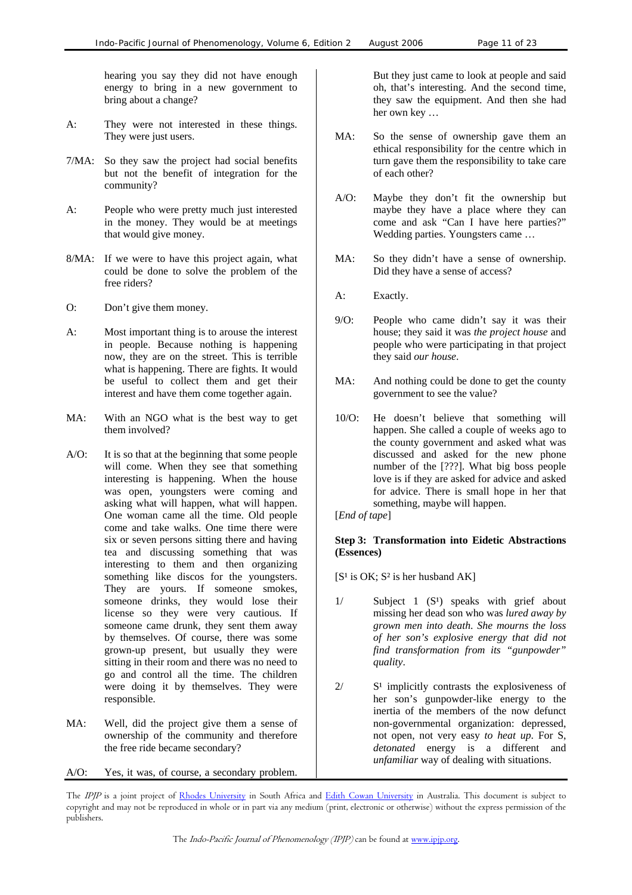hearing you say they did not have enough energy to bring in a new government to bring about a change?

- A: They were not interested in these things. They were just users.
- 7/MA: So they saw the project had social benefits but not the benefit of integration for the community?
- A: People who were pretty much just interested in the money. They would be at meetings that would give money.
- 8/MA: If we were to have this project again, what could be done to solve the problem of the free riders?
- O: Don't give them money.
- A: Most important thing is to arouse the interest in people. Because nothing is happening now, they are on the street. This is terrible what is happening. There are fights. It would be useful to collect them and get their interest and have them come together again.
- MA: With an NGO what is the best way to get them involved?
- A/O: It is so that at the beginning that some people will come. When they see that something interesting is happening. When the house was open, youngsters were coming and asking what will happen, what will happen. One woman came all the time. Old people come and take walks. One time there were six or seven persons sitting there and having tea and discussing something that was interesting to them and then organizing something like discos for the youngsters. They are yours. If someone smokes, someone drinks, they would lose their license so they were very cautious. If someone came drunk, they sent them away by themselves. Of course, there was some grown-up present, but usually they were sitting in their room and there was no need to go and control all the time. The children were doing it by themselves. They were responsible.
- MA: Well, did the project give them a sense of ownership of the community and therefore the free ride became secondary?
- A/O: Yes, it was, of course, a secondary problem.

But they just came to look at people and said oh, that's interesting. And the second time, they saw the equipment. And then she had her own key …

- MA: So the sense of ownership gave them an ethical responsibility for the centre which in turn gave them the responsibility to take care of each other?
- A/O: Maybe they don't fit the ownership but maybe they have a place where they can come and ask "Can I have here parties?" Wedding parties. Youngsters came …
- MA: So they didn't have a sense of ownership. Did they have a sense of access?
- A: Exactly.
- 9/O: People who came didn't say it was their house; they said it was *the project house* and people who were participating in that project they said *our house*.
- MA: And nothing could be done to get the county government to see the value?
- 10/O: He doesn't believe that something will happen. She called a couple of weeks ago to the county government and asked what was discussed and asked for the new phone number of the [???]. What big boss people love is if they are asked for advice and asked for advice. There is small hope in her that something, maybe will happen.

## [*End of tape*]

## **Step 3: Transformation into Eidetic Abstractions (Essences)**

 $[S<sup>1</sup>$  is OK;  $S<sup>2</sup>$  is her husband AK]

- $1/$  Subject 1  $(S<sup>1</sup>)$  speaks with grief about missing her dead son who was *lured away by grown men into death*. *She mourns the loss of her son's explosive energy that did not find transformation from its "gunpowder" quality*.
- $2/$  S<sup>1</sup> implicitly contrasts the explosiveness of her son's gunpowder-like energy to the inertia of the members of the now defunct non-governmental organization: depressed, not open, not very easy *to heat up*. For S, *detonated* energy is a different and *unfamiliar* way of dealing with situations.

The IPJP is a joint project of Rhodes University in South Africa and Edith Cowan University in Australia. This document is subject to copyright and may not be reproduced in whole or in part via any medium (print, electronic or otherwise) without the express permission of the publishers.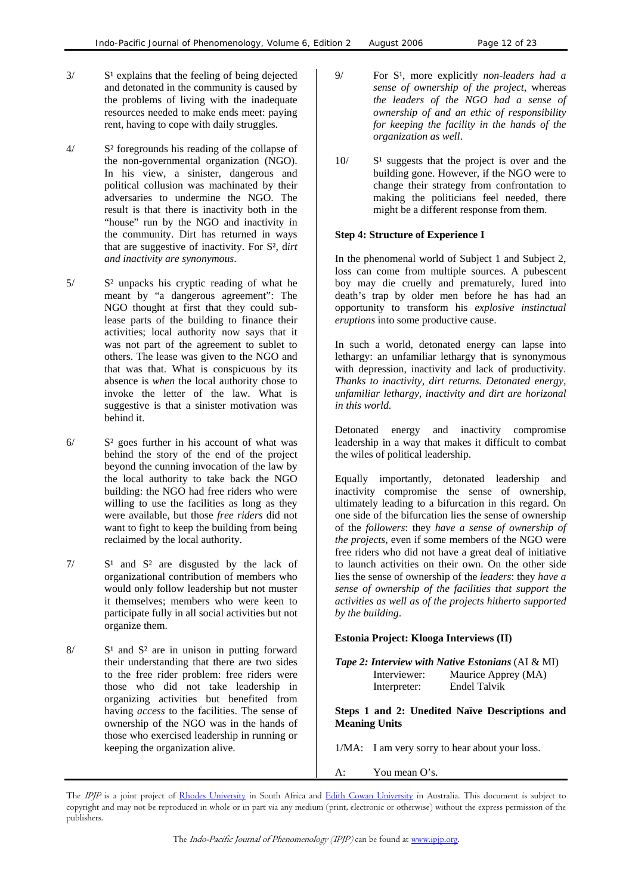- $3/$  S<sup>1</sup> explains that the feeling of being dejected and detonated in the community is caused by the problems of living with the inadequate resources needed to make ends meet: paying rent, having to cope with daily struggles.
- 4/ S² foregrounds his reading of the collapse of the non-governmental organization (NGO). In his view, a sinister, dangerous and political collusion was machinated by their adversaries to undermine the NGO. The result is that there is inactivity both in the "house" run by the NGO and inactivity in the community. Dirt has returned in ways that are suggestive of inactivity. For S², d*irt and inactivity are synonymous*.
- 5/ S² unpacks his cryptic reading of what he meant by "a dangerous agreement": The NGO thought at first that they could sublease parts of the building to finance their activities; local authority now says that it was not part of the agreement to sublet to others. The lease was given to the NGO and that was that. What is conspicuous by its absence is *when* the local authority chose to invoke the letter of the law. What is suggestive is that a sinister motivation was behind it.
- 6/ S² goes further in his account of what was behind the story of the end of the project beyond the cunning invocation of the law by the local authority to take back the NGO building: the NGO had free riders who were willing to use the facilities as long as they were available, but those *free riders* did not want to fight to keep the building from being reclaimed by the local authority.
- $7/$  S<sup>1</sup> and S<sup>2</sup> are disgusted by the lack of organizational contribution of members who would only follow leadership but not muster it themselves; members who were keen to participate fully in all social activities but not organize them.
- $8/$  S<sup>1</sup> and S<sup>2</sup> are in unison in putting forward their understanding that there are two sides to the free rider problem: free riders were those who did not take leadership in organizing activities but benefited from having *access* to the facilities. The sense of ownership of the NGO was in the hands of those who exercised leadership in running or keeping the organization alive.
- 9/ For S<sup>1</sup>, more explicitly *non-leaders* had a *sense of ownership of the project*, whereas *the leaders of the NGO had a sense of ownership of and an ethic of responsibility for keeping the facility in the hands of the organization as well*.
- $10$ / S<sup>1</sup> suggests that the project is over and the building gone. However, if the NGO were to change their strategy from confrontation to making the politicians feel needed, there might be a different response from them.

## **Step 4: Structure of Experience I**

In the phenomenal world of Subject 1 and Subject 2, loss can come from multiple sources. A pubescent boy may die cruelly and prematurely, lured into death's trap by older men before he has had an opportunity to transform his *explosive instinctual eruptions* into some productive cause.

In such a world, detonated energy can lapse into lethargy: an unfamiliar lethargy that is synonymous with depression, inactivity and lack of productivity. *Thanks to inactivity, dirt returns. Detonated energy, unfamiliar lethargy, inactivity and dirt are horizonal in this world.*

Detonated energy and inactivity compromise leadership in a way that makes it difficult to combat the wiles of political leadership.

Equally importantly, detonated leadership and inactivity compromise the sense of ownership, ultimately leading to a bifurcation in this regard. On one side of the bifurcation lies the sense of ownership of the *followers*: they *have a sense of ownership of the projects*, even if some members of the NGO were free riders who did not have a great deal of initiative to launch activities on their own. On the other side lies the sense of ownership of the *leaders*: they *have a sense of ownership of the facilities that support the activities as well as of the projects hitherto supported by the building*.

## **Estonia Project: Klooga Interviews (II)**

*Tape 2: Interview with Native Estonians* (AI & MI) Interviewer: Maurice Apprey (MA) Interpreter: Endel Talvik

**Steps 1 and 2: Unedited Naïve Descriptions and Meaning Units** 

1/MA: I am very sorry to hear about your loss.

A: You mean O's.

The IPJP is a joint project of Rhodes University in South Africa and Edith Cowan University in Australia. This document is subject to copyright and may not be reproduced in whole or in part via any medium (print, electronic or otherwise) without the express permission of the publishers.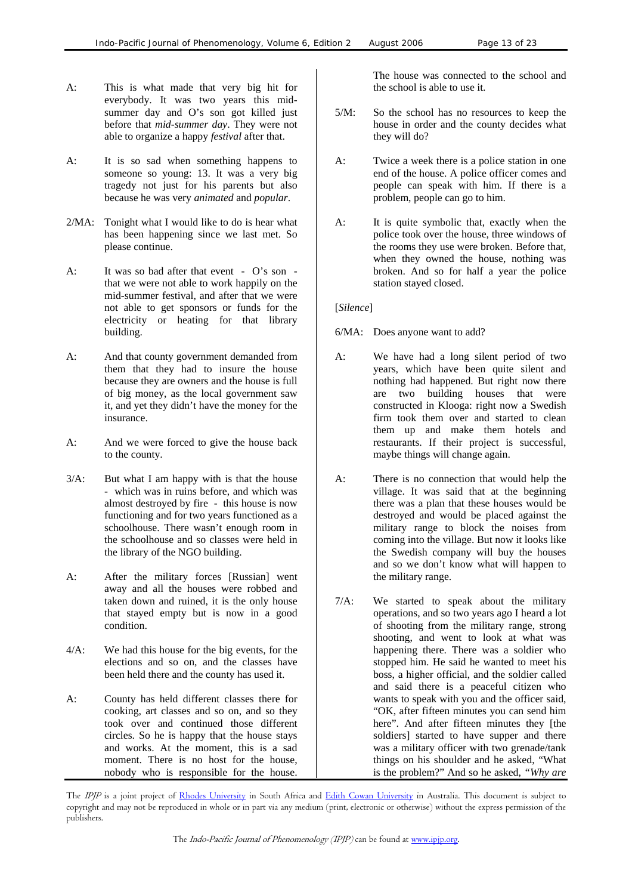- A: This is what made that very big hit for everybody. It was two years this midsummer day and O's son got killed just before that *mid-summer day*. They were not able to organize a happy *festival* after that.
- A: It is so sad when something happens to someone so young: 13. It was a very big tragedy not just for his parents but also because he was very *animated* and *popular*.
- 2/MA: Tonight what I would like to do is hear what has been happening since we last met. So please continue.
- A: It was so bad after that event O's son that we were not able to work happily on the mid-summer festival, and after that we were not able to get sponsors or funds for the electricity or heating for that library building.
- A: And that county government demanded from them that they had to insure the house because they are owners and the house is full of big money, as the local government saw it, and yet they didn't have the money for the insurance.
- A: And we were forced to give the house back to the county.
- 3/A: But what I am happy with is that the house - which was in ruins before, and which was almost destroyed by fire - this house is now functioning and for two years functioned as a schoolhouse. There wasn't enough room in the schoolhouse and so classes were held in the library of the NGO building.
- A: After the military forces [Russian] went away and all the houses were robbed and taken down and ruined, it is the only house that stayed empty but is now in a good condition.
- 4/A: We had this house for the big events, for the elections and so on, and the classes have been held there and the county has used it.
- A: County has held different classes there for cooking, art classes and so on, and so they took over and continued those different circles. So he is happy that the house stays and works. At the moment, this is a sad moment. There is no host for the house, nobody who is responsible for the house.

The house was connected to the school and the school is able to use it.

- 5/M: So the school has no resources to keep the house in order and the county decides what they will do?
- A: Twice a week there is a police station in one end of the house. A police officer comes and people can speak with him. If there is a problem, people can go to him.
- A: It is quite symbolic that, exactly when the police took over the house, three windows of the rooms they use were broken. Before that, when they owned the house, nothing was broken. And so for half a year the police station stayed closed.

[*Silence*]

6/MA: Does anyone want to add?

- A: We have had a long silent period of two years, which have been quite silent and nothing had happened. But right now there are two building houses that were constructed in Klooga: right now a Swedish firm took them over and started to clean them up and make them hotels and restaurants. If their project is successful, maybe things will change again.
- A: There is no connection that would help the village. It was said that at the beginning there was a plan that these houses would be destroyed and would be placed against the military range to block the noises from coming into the village. But now it looks like the Swedish company will buy the houses and so we don't know what will happen to the military range.
- 7/A: We started to speak about the military operations, and so two years ago I heard a lot of shooting from the military range, strong shooting, and went to look at what was happening there. There was a soldier who stopped him. He said he wanted to meet his boss, a higher official, and the soldier called and said there is a peaceful citizen who wants to speak with you and the officer said, "OK, after fifteen minutes you can send him here". And after fifteen minutes they [the soldiers] started to have supper and there was a military officer with two grenade/tank things on his shoulder and he asked, "What is the problem?" And so he asked, *"Why are*

The IPJP is a joint project of Rhodes University in South Africa and Edith Cowan University in Australia. This document is subject to copyright and may not be reproduced in whole or in part via any medium (print, electronic or otherwise) without the express permission of the publishers.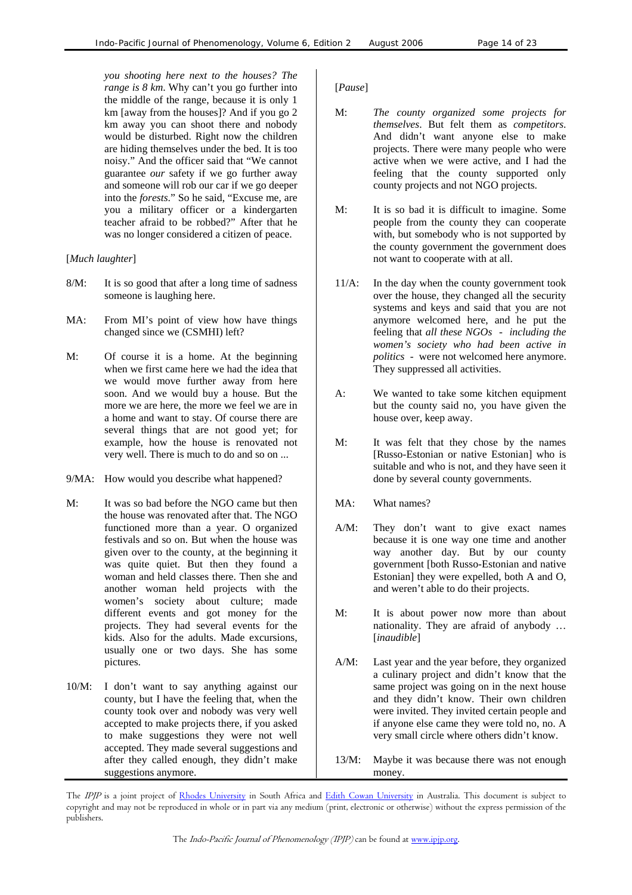*you shooting here next to the houses? The range is 8 km*. Why can't you go further into the middle of the range, because it is only 1 km [away from the houses]? And if you go 2 km away you can shoot there and nobody would be disturbed. Right now the children are hiding themselves under the bed. It is too noisy." And the officer said that "We cannot guarantee *our* safety if we go further away and someone will rob our car if we go deeper into the *forests*." So he said, "Excuse me, are you a military officer or a kindergarten teacher afraid to be robbed?" After that he was no longer considered a citizen of peace.

## [*Much laughter*]

- 8/M: It is so good that after a long time of sadness someone is laughing here.
- MA: From MI's point of view how have things changed since we (CSMHI) left?
- M: Of course it is a home. At the beginning when we first came here we had the idea that we would move further away from here soon. And we would buy a house. But the more we are here, the more we feel we are in a home and want to stay. Of course there are several things that are not good yet; for example, how the house is renovated not very well. There is much to do and so on ...
- 9/MA: How would you describe what happened?
- M: It was so bad before the NGO came but then the house was renovated after that. The NGO functioned more than a year. O organized festivals and so on. But when the house was given over to the county, at the beginning it was quite quiet. But then they found a woman and held classes there. Then she and another woman held projects with the women's society about culture; made different events and got money for the projects. They had several events for the kids. Also for the adults. Made excursions, usually one or two days. She has some pictures.
- 10/M: I don't want to say anything against our county, but I have the feeling that, when the county took over and nobody was very well accepted to make projects there, if you asked to make suggestions they were not well accepted. They made several suggestions and after they called enough, they didn't make suggestions anymore.

[*Pause*]

- M: *The county organized some projects for themselves*. But felt them as *competitors*. And didn't want anyone else to make projects. There were many people who were active when we were active, and I had the feeling that the county supported only county projects and not NGO projects.
- M: It is so bad it is difficult to imagine. Some people from the county they can cooperate with, but somebody who is not supported by the county government the government does not want to cooperate with at all.
- 11/A: In the day when the county government took over the house, they changed all the security systems and keys and said that you are not anymore welcomed here, and he put the feeling that *all these NGOs - including the women's society who had been active in politics -* were not welcomed here anymore. They suppressed all activities.
- A: We wanted to take some kitchen equipment but the county said no, you have given the house over, keep away.
- M: It was felt that they chose by the names [Russo-Estonian or native Estonian] who is suitable and who is not, and they have seen it done by several county governments.
- MA: What names?
- A/M: They don't want to give exact names because it is one way one time and another way another day. But by our county government [both Russo-Estonian and native Estonian] they were expelled, both A and O, and weren't able to do their projects.
- M: It is about power now more than about nationality. They are afraid of anybody … [*inaudible*]
- A/M: Last year and the year before, they organized a culinary project and didn't know that the same project was going on in the next house and they didn't know. Their own children were invited. They invited certain people and if anyone else came they were told no, no. A very small circle where others didn't know.
- 13/M: Maybe it was because there was not enough money.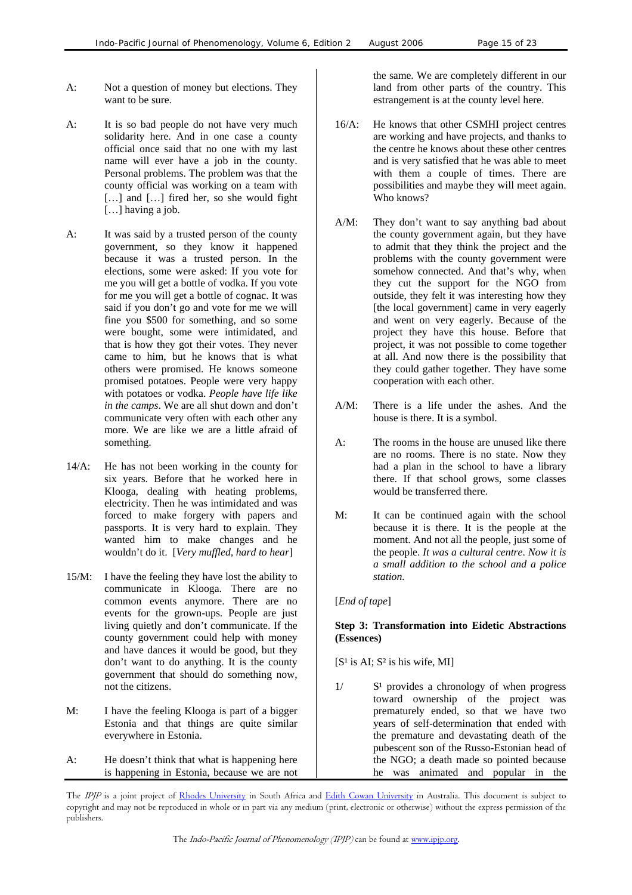- A: Not a question of money but elections. They want to be sure.
- A: It is so bad people do not have very much solidarity here. And in one case a county official once said that no one with my last name will ever have a job in the county. Personal problems. The problem was that the county official was working on a team with [...] and [...] fired her, so she would fight [...] having a job.
- A: It was said by a trusted person of the county government, so they know it happened because it was a trusted person. In the elections, some were asked: If you vote for me you will get a bottle of vodka. If you vote for me you will get a bottle of cognac. It was said if you don't go and vote for me we will fine you \$500 for something, and so some were bought, some were intimidated, and that is how they got their votes. They never came to him, but he knows that is what others were promised. He knows someone promised potatoes. People were very happy with potatoes or vodka. *People have life like in the camps*. We are all shut down and don't communicate very often with each other any more. We are like we are a little afraid of something.
- 14/A: He has not been working in the county for six years. Before that he worked here in Klooga, dealing with heating problems, electricity. Then he was intimidated and was forced to make forgery with papers and passports. It is very hard to explain. They wanted him to make changes and he wouldn't do it. [*Very muffled, hard to hear*]
- 15/M: I have the feeling they have lost the ability to communicate in Klooga. There are no common events anymore. There are no events for the grown-ups. People are just living quietly and don't communicate. If the county government could help with money and have dances it would be good, but they don't want to do anything. It is the county government that should do something now, not the citizens.
- M: I have the feeling Klooga is part of a bigger Estonia and that things are quite similar everywhere in Estonia.
- A: He doesn't think that what is happening here is happening in Estonia, because we are not

the same. We are completely different in our land from other parts of the country. This estrangement is at the county level here.

- 16/A: He knows that other CSMHI project centres are working and have projects, and thanks to the centre he knows about these other centres and is very satisfied that he was able to meet with them a couple of times. There are possibilities and maybe they will meet again. Who knows?
- A/M: They don't want to say anything bad about the county government again, but they have to admit that they think the project and the problems with the county government were somehow connected. And that's why, when they cut the support for the NGO from outside, they felt it was interesting how they [the local government] came in very eagerly and went on very eagerly. Because of the project they have this house. Before that project, it was not possible to come together at all. And now there is the possibility that they could gather together. They have some cooperation with each other.
- A/M: There is a life under the ashes. And the house is there. It is a symbol.
- A: The rooms in the house are unused like there are no rooms. There is no state. Now they had a plan in the school to have a library there. If that school grows, some classes would be transferred there.
- M: It can be continued again with the school because it is there. It is the people at the moment. And not all the people, just some of the people. *It was a cultural centre*. *Now it is a small addition to the school and a police station.*

[*End of tape*]

## **Step 3: Transformation into Eidetic Abstractions (Essences)**

 $[S<sup>1</sup>$  is AI;  $S<sup>2</sup>$  is his wife, MI]

 $1/$  S<sup>1</sup> provides a chronology of when progress toward ownership of the project was prematurely ended, so that we have two years of self-determination that ended with the premature and devastating death of the pubescent son of the Russo-Estonian head of the NGO; a death made so pointed because he was animated and popular in the

The IPJP is a joint project of Rhodes University in South Africa and Edith Cowan University in Australia. This document is subject to copyright and may not be reproduced in whole or in part via any medium (print, electronic or otherwise) without the express permission of the publishers.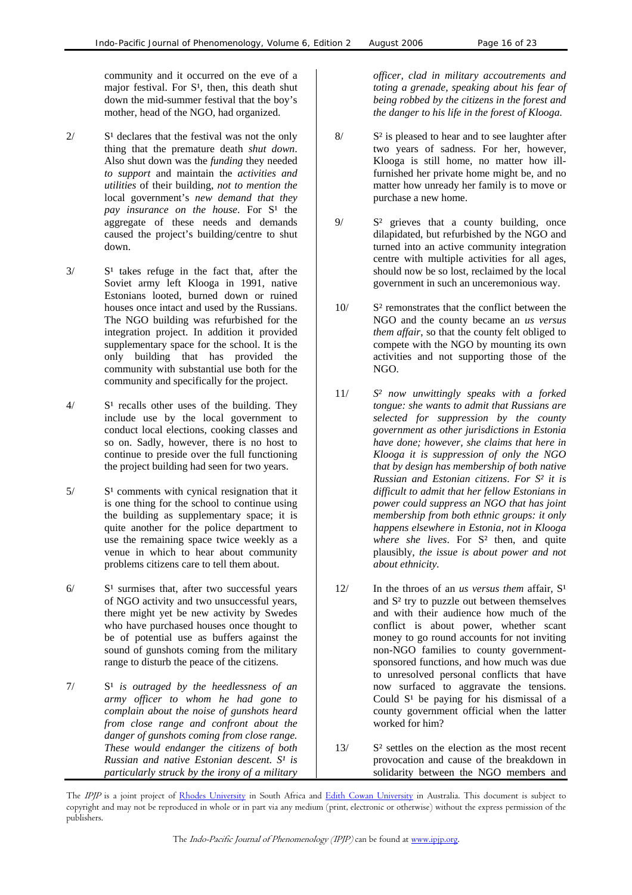community and it occurred on the eve of a major festival. For  $S<sup>1</sup>$ , then, this death shut down the mid-summer festival that the boy's mother, head of the NGO, had organized.

- $2/$  S<sup>1</sup> declares that the festival was not the only thing that the premature death *shut down*. Also shut down was the *funding* they needed *to support* and maintain the *activities and utilities* of their building, *not to mention the* local government's *new demand that they pay insurance on the house*. For S<sup>1</sup> the aggregate of these needs and demands caused the project's building/centre to shut down.
- $3/$  S<sup>1</sup> takes refuge in the fact that, after the Soviet army left Klooga in 1991, native Estonians looted, burned down or ruined houses once intact and used by the Russians. The NGO building was refurbished for the integration project. In addition it provided supplementary space for the school. It is the only building that has provided the community with substantial use both for the community and specifically for the project.
- $4/$  S<sup>1</sup> recalls other uses of the building. They include use by the local government to conduct local elections, cooking classes and so on. Sadly, however, there is no host to continue to preside over the full functioning the project building had seen for two years.
- $5/$  S<sup>1</sup> comments with cynical resignation that it is one thing for the school to continue using the building as supplementary space; it is quite another for the police department to use the remaining space twice weekly as a venue in which to hear about community problems citizens care to tell them about.
- $6/$  S<sup>1</sup> surmises that, after two successful years of NGO activity and two unsuccessful years, there might yet be new activity by Swedes who have purchased houses once thought to be of potential use as buffers against the sound of gunshots coming from the military range to disturb the peace of the citizens.
- 7/ S<sup>1</sup> *is outraged by the heedlessness of an army officer to whom he had gone to complain about the noise of gunshots heard from close range and confront about the danger of gunshots coming from close range. These would endanger the citizens of both Russian and native Estonian descent.* S<sup>1</sup> is *particularly struck by the irony of a military*

*officer, clad in military accoutrements and toting a grenade, speaking about his fear of being robbed by the citizens in the forest and the danger to his life in the forest of Klooga.* 

- $8/$  S<sup>2</sup> is pleased to hear and to see laughter after two years of sadness. For her, however, Klooga is still home, no matter how illfurnished her private home might be, and no matter how unready her family is to move or purchase a new home.
- 9/ S² grieves that a county building, once dilapidated, but refurbished by the NGO and turned into an active community integration centre with multiple activities for all ages, should now be so lost, reclaimed by the local government in such an unceremonious way.
- 10/ S² remonstrates that the conflict between the NGO and the county became an *us versus them affair*, so that the county felt obliged to compete with the NGO by mounting its own activities and not supporting those of the NGO.
- 11/ *S² now unwittingly speaks with a forked tongue: she wants to admit that Russians are selected for suppression by the county government as other jurisdictions in Estonia have done; however, she claims that here in Klooga it is suppression of only the NGO that by design has membership of both native Russian and Estonian citizens*. *For S² it is difficult to admit that her fellow Estonians in power could suppress an NGO that has joint membership from both ethnic groups: it only happens elsewhere in Estonia, not in Klooga where she lives*. For S² then, and quite plausibly, *the issue is about power and not about ethnicity.*
- $12$  In the throes of an *us versus them* affair,  $S^1$ and S² try to puzzle out between themselves and with their audience how much of the conflict is about power, whether scant money to go round accounts for not inviting non-NGO families to county governmentsponsored functions, and how much was due to unresolved personal conflicts that have now surfaced to aggravate the tensions. Could  $S<sup>1</sup>$  be paying for his dismissal of a county government official when the latter worked for him?
- 13/ S² settles on the election as the most recent provocation and cause of the breakdown in solidarity between the NGO members and

The IPJP is a joint project of Rhodes University in South Africa and Edith Cowan University in Australia. This document is subject to copyright and may not be reproduced in whole or in part via any medium (print, electronic or otherwise) without the express permission of the publishers.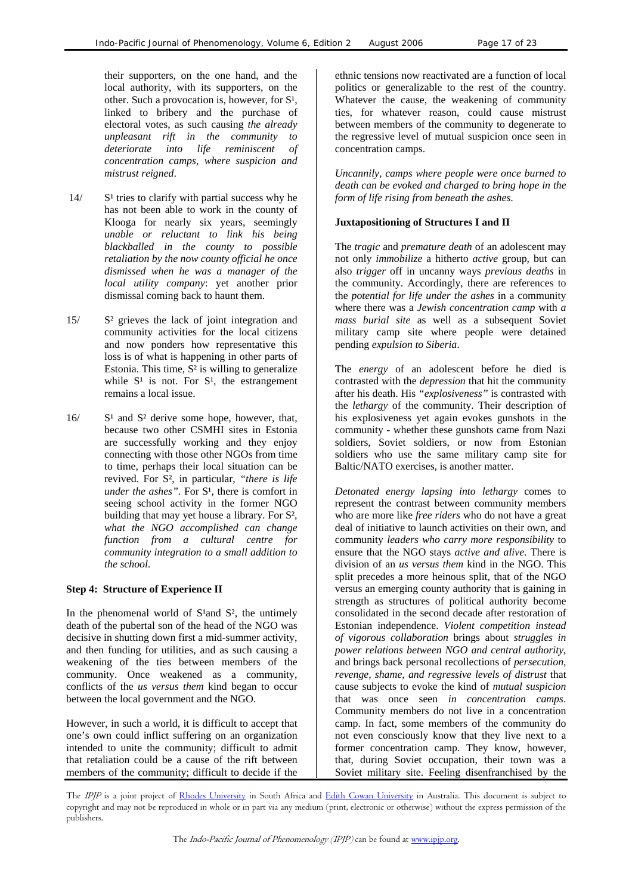their supporters, on the one hand, and the local authority, with its supporters, on the other. Such a provocation is, however, for  $S^1$ , linked to bribery and the purchase of electoral votes, as such causing *the already unpleasant rift in the community to differentially* reminiscent of *concentration camps, where suspicion and mistrust reigned*.

- $14$  S<sup>1</sup> tries to clarify with partial success why he has not been able to work in the county of Klooga for nearly six years, seemingly *unable or reluctant to link his being blackballed in the county to possible retaliation by the now county official he once dismissed when he was a manager of the local utility company*: yet another prior dismissal coming back to haunt them.
- 15/ S² grieves the lack of joint integration and community activities for the local citizens and now ponders how representative this loss is of what is happening in other parts of Estonia. This time, S² is willing to generalize while  $S^1$  is not. For  $S^1$ , the estrangement remains a local issue.
- $16$  S<sup>1</sup> and S<sup>2</sup> derive some hope, however, that, because two other CSMHI sites in Estonia are successfully working and they enjoy connecting with those other NGOs from time to time, perhaps their local situation can be revived. For S², in particular, *"there is life under the ashes"*. For S<sup>1</sup>, there is comfort in seeing school activity in the former NGO building that may yet house a library. For S², *what the NGO accomplished can change function from a cultural centre for community integration to a small addition to the school*.

# **Step 4: Structure of Experience II**

In the phenomenal world of  $S<sup>1</sup>$  and  $S<sup>2</sup>$ , the untimely death of the pubertal son of the head of the NGO was decisive in shutting down first a mid-summer activity, and then funding for utilities, and as such causing a weakening of the ties between members of the community. Once weakened as a community, conflicts of the *us versus them* kind began to occur between the local government and the NGO.

However, in such a world, it is difficult to accept that one's own could inflict suffering on an organization intended to unite the community; difficult to admit that retaliation could be a cause of the rift between members of the community; difficult to decide if the

ethnic tensions now reactivated are a function of local politics or generalizable to the rest of the country. Whatever the cause, the weakening of community ties, for whatever reason, could cause mistrust between members of the community to degenerate to the regressive level of mutual suspicion once seen in concentration camps.

*Uncannily, camps where people were once burned to death can be evoked and charged to bring hope in the form of life rising from beneath the ashes*.

#### **Juxtapositioning of Structures I and II**

The *tragic* and *premature death* of an adolescent may not only *immobilize* a hitherto *active* group, but can also *trigger* off in uncanny ways *previous deaths* in the community. Accordingly, there are references to the *potential for life under the ashes* in a community where there was a *Jewish concentration camp* with *a mass burial site* as well as a subsequent Soviet military camp site where people were detained pending *expulsion to Siberia*.

The *energy* of an adolescent before he died is contrasted with the *depression* that hit the community after his death. His *"explosiveness"* is contrasted with the *lethargy* of the community. Their description of his explosiveness yet again evokes gunshots in the community - whether these gunshots came from Nazi soldiers, Soviet soldiers, or now from Estonian soldiers who use the same military camp site for Baltic/NATO exercises, is another matter.

*Detonated energy lapsing into lethargy* comes to represent the contrast between community members who are more like *free riders* who do not have a great deal of initiative to launch activities on their own, and community *leaders who carry more responsibility* to ensure that the NGO stays *active and alive*. There is division of an *us versus them* kind in the NGO. This split precedes a more heinous split, that of the NGO versus an emerging county authority that is gaining in strength as structures of political authority become consolidated in the second decade after restoration of Estonian independence. *Violent competition instead of vigorous collaboration* brings about *struggles in power relations between NGO and central authority*, and brings back personal recollections of *persecution, revenge, shame, and regressive levels of distrust* that cause subjects to evoke the kind of *mutual suspicion*  that was once seen *in concentration camps*. Community members do not live in a concentration camp. In fact, some members of the community do not even consciously know that they live next to a former concentration camp. They know, however, that, during Soviet occupation, their town was a Soviet military site. Feeling disenfranchised by the

The IPJP is a joint project of Rhodes University in South Africa and Edith Cowan University in Australia. This document is subject to copyright and may not be reproduced in whole or in part via any medium (print, electronic or otherwise) without the express permission of the publishers.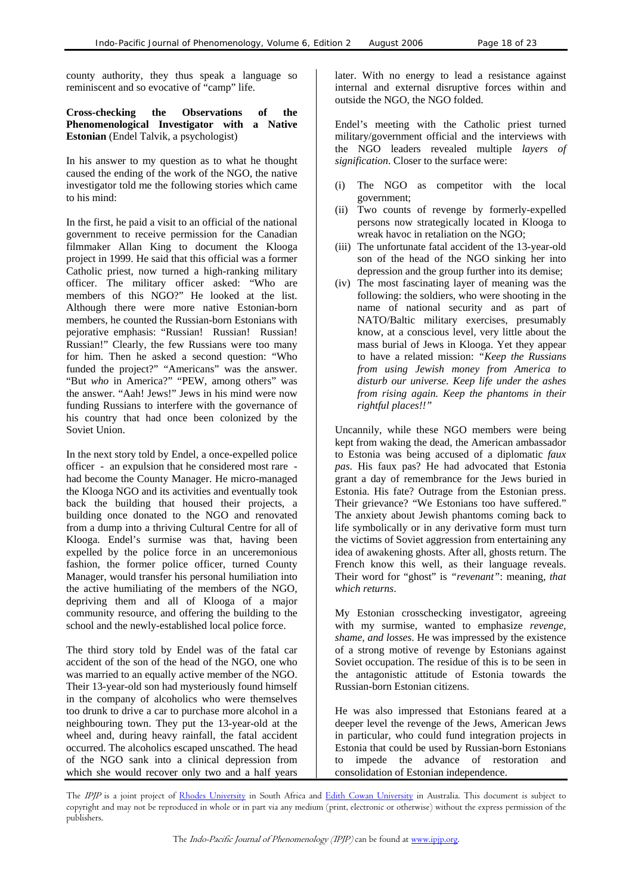county authority, they thus speak a language so reminiscent and so evocative of "camp" life.

**Cross-checking the Observations of the Phenomenological Investigator with a Native Estonian** (Endel Talvik, a psychologist)

In his answer to my question as to what he thought caused the ending of the work of the NGO, the native investigator told me the following stories which came to his mind:

In the first, he paid a visit to an official of the national government to receive permission for the Canadian filmmaker Allan King to document the Klooga project in 1999. He said that this official was a former Catholic priest, now turned a high-ranking military officer. The military officer asked: "Who are members of this NGO?" He looked at the list. Although there were more native Estonian-born members, he counted the Russian-born Estonians with pejorative emphasis: "Russian! Russian! Russian! Russian!" Clearly, the few Russians were too many for him. Then he asked a second question: "Who funded the project?" "Americans" was the answer. "But *who* in America?" "PEW, among others" was the answer. "Aah! Jews!" Jews in his mind were now funding Russians to interfere with the governance of his country that had once been colonized by the Soviet Union.

In the next story told by Endel, a once-expelled police officer - an expulsion that he considered most rare had become the County Manager. He micro-managed the Klooga NGO and its activities and eventually took back the building that housed their projects, a building once donated to the NGO and renovated from a dump into a thriving Cultural Centre for all of Klooga. Endel's surmise was that, having been expelled by the police force in an unceremonious fashion, the former police officer, turned County Manager, would transfer his personal humiliation into the active humiliating of the members of the NGO, depriving them and all of Klooga of a major community resource, and offering the building to the school and the newly-established local police force.

The third story told by Endel was of the fatal car accident of the son of the head of the NGO, one who was married to an equally active member of the NGO. Their 13-year-old son had mysteriously found himself in the company of alcoholics who were themselves too drunk to drive a car to purchase more alcohol in a neighbouring town. They put the 13-year-old at the wheel and, during heavy rainfall, the fatal accident occurred. The alcoholics escaped unscathed. The head of the NGO sank into a clinical depression from which she would recover only two and a half years

later. With no energy to lead a resistance against internal and external disruptive forces within and outside the NGO, the NGO folded.

Endel's meeting with the Catholic priest turned military/government official and the interviews with the NGO leaders revealed multiple *layers of signification*. Closer to the surface were:

- (i) The NGO as competitor with the local government;
- (ii) Two counts of revenge by formerly-expelled persons now strategically located in Klooga to wreak havoc in retaliation on the NGO;
- (iii) The unfortunate fatal accident of the 13-year-old son of the head of the NGO sinking her into depression and the group further into its demise;
- (iv) The most fascinating layer of meaning was the following: the soldiers, who were shooting in the name of national security and as part of NATO/Baltic military exercises, presumably know, at a conscious level, very little about the mass burial of Jews in Klooga. Yet they appear to have a related mission: *"Keep the Russians from using Jewish money from America to disturb our universe. Keep life under the ashes from rising again. Keep the phantoms in their rightful places!!"*

Uncannily, while these NGO members were being kept from waking the dead, the American ambassador to Estonia was being accused of a diplomatic *faux pas*. His faux pas? He had advocated that Estonia grant a day of remembrance for the Jews buried in Estonia. His fate? Outrage from the Estonian press. Their grievance? "We Estonians too have suffered." The anxiety about Jewish phantoms coming back to life symbolically or in any derivative form must turn the victims of Soviet aggression from entertaining any idea of awakening ghosts. After all, ghosts return. The French know this well, as their language reveals. Their word for "ghost" is *"revenant"*: meaning, *that which returns*.

My Estonian crosschecking investigator, agreeing with my surmise, wanted to emphasize *revenge, shame, and losses*. He was impressed by the existence of a strong motive of revenge by Estonians against Soviet occupation. The residue of this is to be seen in the antagonistic attitude of Estonia towards the Russian-born Estonian citizens.

He was also impressed that Estonians feared at a deeper level the revenge of the Jews, American Jews in particular, who could fund integration projects in Estonia that could be used by Russian-born Estonians to impede the advance of restoration and consolidation of Estonian independence.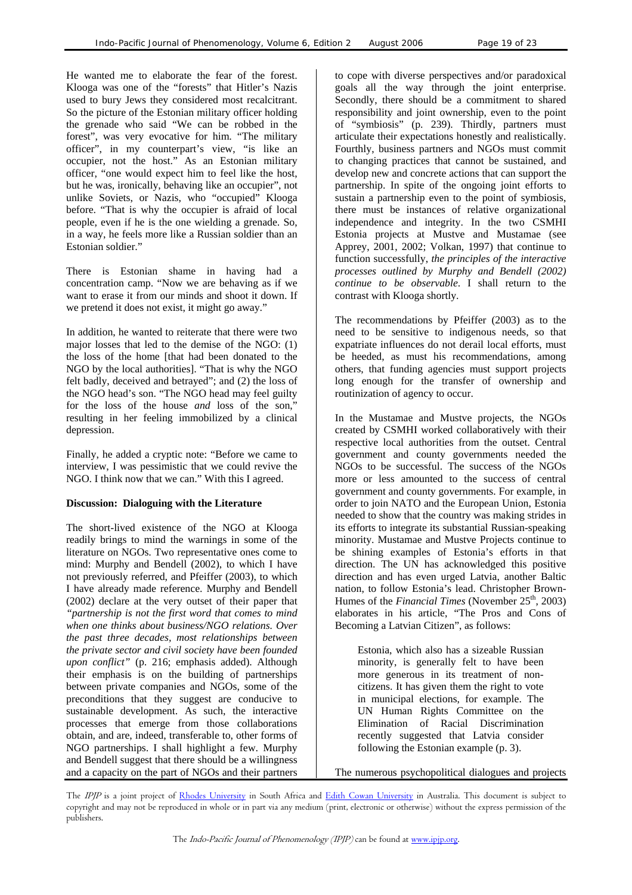He wanted me to elaborate the fear of the forest. Klooga was one of the "forests" that Hitler's Nazis used to bury Jews they considered most recalcitrant. So the picture of the Estonian military officer holding the grenade who said "We can be robbed in the forest", was very evocative for him. "The military officer", in my counterpart's view, "is like an occupier, not the host." As an Estonian military officer, "one would expect him to feel like the host, but he was, ironically, behaving like an occupier", not unlike Soviets, or Nazis, who "occupied" Klooga before. "That is why the occupier is afraid of local people, even if he is the one wielding a grenade. So, in a way, he feels more like a Russian soldier than an Estonian soldier."

There is Estonian shame in having had a concentration camp. "Now we are behaving as if we want to erase it from our minds and shoot it down. If we pretend it does not exist, it might go away."

In addition, he wanted to reiterate that there were two major losses that led to the demise of the NGO: (1) the loss of the home [that had been donated to the NGO by the local authorities]. "That is why the NGO felt badly, deceived and betrayed"; and (2) the loss of the NGO head's son. "The NGO head may feel guilty for the loss of the house *and* loss of the son," resulting in her feeling immobilized by a clinical depression.

Finally, he added a cryptic note: "Before we came to interview, I was pessimistic that we could revive the NGO. I think now that we can." With this I agreed.

## **Discussion: Dialoguing with the Literature**

The short-lived existence of the NGO at Klooga readily brings to mind the warnings in some of the literature on NGOs. Two representative ones come to mind: Murphy and Bendell (2002), to which I have not previously referred, and Pfeiffer (2003), to which I have already made reference. Murphy and Bendell (2002) declare at the very outset of their paper that *"partnership is not the first word that comes to mind when one thinks about business/NGO relations. Over the past three decades, most relationships between the private sector and civil society have been founded upon conflict"* (p. 216; emphasis added). Although their emphasis is on the building of partnerships between private companies and NGOs, some of the preconditions that they suggest are conducive to sustainable development. As such, the interactive processes that emerge from those collaborations obtain, and are, indeed, transferable to, other forms of NGO partnerships. I shall highlight a few. Murphy and Bendell suggest that there should be a willingness and a capacity on the part of NGOs and their partners

to cope with diverse perspectives and/or paradoxical goals all the way through the joint enterprise. Secondly, there should be a commitment to shared responsibility and joint ownership, even to the point of "symbiosis" (p. 239). Thirdly, partners must articulate their expectations honestly and realistically. Fourthly, business partners and NGOs must commit to changing practices that cannot be sustained, and develop new and concrete actions that can support the partnership. In spite of the ongoing joint efforts to sustain a partnership even to the point of symbiosis, there must be instances of relative organizational independence and integrity. In the two CSMHI Estonia projects at Mustve and Mustamae (see Apprey, 2001, 2002; Volkan, 1997) that continue to function successfully, *the principles of the interactive processes outlined by Murphy and Bendell (2002) continue to be observable*. I shall return to the contrast with Klooga shortly.

The recommendations by Pfeiffer (2003) as to the need to be sensitive to indigenous needs, so that expatriate influences do not derail local efforts, must be heeded, as must his recommendations, among others, that funding agencies must support projects long enough for the transfer of ownership and routinization of agency to occur.

In the Mustamae and Mustve projects, the NGOs created by CSMHI worked collaboratively with their respective local authorities from the outset. Central government and county governments needed the NGOs to be successful. The success of the NGOs more or less amounted to the success of central government and county governments. For example, in order to join NATO and the European Union, Estonia needed to show that the country was making strides in its efforts to integrate its substantial Russian-speaking minority. Mustamae and Mustve Projects continue to be shining examples of Estonia's efforts in that direction. The UN has acknowledged this positive direction and has even urged Latvia, another Baltic nation, to follow Estonia's lead. Christopher Brown-Humes of the *Financial Times* (November 25<sup>th</sup>, 2003) elaborates in his article, "The Pros and Cons of Becoming a Latvian Citizen", as follows:

Estonia, which also has a sizeable Russian minority, is generally felt to have been more generous in its treatment of noncitizens. It has given them the right to vote in municipal elections, for example. The UN Human Rights Committee on the Elimination of Racial Discrimination recently suggested that Latvia consider following the Estonian example (p. 3).

The numerous psychopolitical dialogues and projects

The IPJP is a joint project of Rhodes University in South Africa and Edith Cowan University in Australia. This document is subject to copyright and may not be reproduced in whole or in part via any medium (print, electronic or otherwise) without the express permission of the publishers.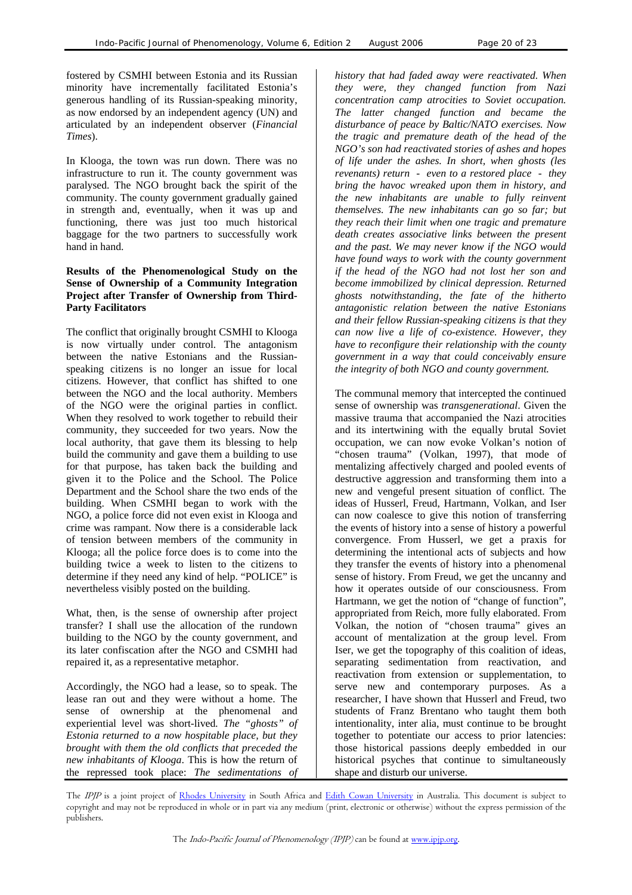fostered by CSMHI between Estonia and its Russian minority have incrementally facilitated Estonia's generous handling of its Russian-speaking minority, as now endorsed by an independent agency (UN) and articulated by an independent observer (*Financial Times*).

In Klooga, the town was run down. There was no infrastructure to run it. The county government was paralysed. The NGO brought back the spirit of the community. The county government gradually gained in strength and, eventually, when it was up and functioning, there was just too much historical baggage for the two partners to successfully work hand in hand.

## **Results of the Phenomenological Study on the Sense of Ownership of a Community Integration Project after Transfer of Ownership from Third-Party Facilitators**

The conflict that originally brought CSMHI to Klooga is now virtually under control. The antagonism between the native Estonians and the Russianspeaking citizens is no longer an issue for local citizens. However, that conflict has shifted to one between the NGO and the local authority. Members of the NGO were the original parties in conflict. When they resolved to work together to rebuild their community, they succeeded for two years. Now the local authority, that gave them its blessing to help build the community and gave them a building to use for that purpose, has taken back the building and given it to the Police and the School. The Police Department and the School share the two ends of the building. When CSMHI began to work with the NGO, a police force did not even exist in Klooga and crime was rampant. Now there is a considerable lack of tension between members of the community in Klooga; all the police force does is to come into the building twice a week to listen to the citizens to determine if they need any kind of help. "POLICE" is nevertheless visibly posted on the building.

What, then, is the sense of ownership after project transfer? I shall use the allocation of the rundown building to the NGO by the county government, and its later confiscation after the NGO and CSMHI had repaired it, as a representative metaphor.

Accordingly, the NGO had a lease, so to speak. The lease ran out and they were without a home. The sense of ownership at the phenomenal and experiential level was short-lived*. The "ghosts" of Estonia returned to a now hospitable place, but they brought with them the old conflicts that preceded the new inhabitants of Klooga*. This is how the return of the repressed took place: *The sedimentations of*

*history that had faded away were reactivated. When they were, they changed function from Nazi concentration camp atrocities to Soviet occupation. The latter changed function and became the disturbance of peace by Baltic/NATO exercises. Now the tragic and premature death of the head of the NGO's son had reactivated stories of ashes and hopes of life under the ashes. In short, when ghosts (les revenants) return - even to a restored place - they bring the havoc wreaked upon them in history, and the new inhabitants are unable to fully reinvent themselves. The new inhabitants can go so far; but they reach their limit when one tragic and premature death creates associative links between the present and the past. We may never know if the NGO would have found ways to work with the county government if the head of the NGO had not lost her son and become immobilized by clinical depression. Returned ghosts notwithstanding, the fate of the hitherto antagonistic relation between the native Estonians and their fellow Russian-speaking citizens is that they can now live a life of co-existence. However, they have to reconfigure their relationship with the county government in a way that could conceivably ensure the integrity of both NGO and county government.*

The communal memory that intercepted the continued sense of ownership was *transgenerational*. Given the massive trauma that accompanied the Nazi atrocities and its intertwining with the equally brutal Soviet occupation, we can now evoke Volkan's notion of "chosen trauma" (Volkan, 1997), that mode of mentalizing affectively charged and pooled events of destructive aggression and transforming them into a new and vengeful present situation of conflict. The ideas of Husserl, Freud, Hartmann, Volkan, and Iser can now coalesce to give this notion of transferring the events of history into a sense of history a powerful convergence. From Husserl, we get a praxis for determining the intentional acts of subjects and how they transfer the events of history into a phenomenal sense of history. From Freud, we get the uncanny and how it operates outside of our consciousness. From Hartmann, we get the notion of "change of function", appropriated from Reich, more fully elaborated. From Volkan, the notion of "chosen trauma" gives an account of mentalization at the group level. From Iser, we get the topography of this coalition of ideas, separating sedimentation from reactivation, and reactivation from extension or supplementation, to serve new and contemporary purposes. As a researcher, I have shown that Husserl and Freud, two students of Franz Brentano who taught them both intentionality, inter alia, must continue to be brought together to potentiate our access to prior latencies: those historical passions deeply embedded in our historical psyches that continue to simultaneously shape and disturb our universe.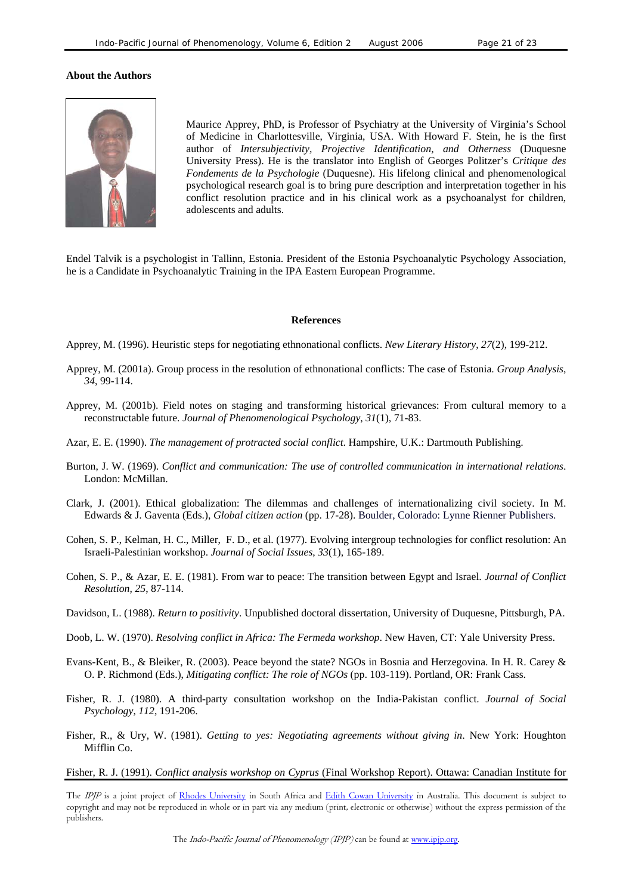#### **About the Authors**



Maurice Apprey, PhD, is Professor of Psychiatry at the University of Virginia's School of Medicine in Charlottesville, Virginia, USA. With Howard F. Stein, he is the first author of *Intersubjectivity, Projective Identification, and Otherness* (Duquesne University Press). He is the translator into English of Georges Politzer's *Critique des Fondements de la Psychologie* (Duquesne). His lifelong clinical and phenomenological psychological research goal is to bring pure description and interpretation together in his conflict resolution practice and in his clinical work as a psychoanalyst for children, adolescents and adults.

Endel Talvik is a psychologist in Tallinn, Estonia. President of the Estonia Psychoanalytic Psychology Association, he is a Candidate in Psychoanalytic Training in the IPA Eastern European Programme.

#### **References**

Apprey, M. (1996). Heuristic steps for negotiating ethnonational conflicts. *New Literary History*, *27*(2), 199-212.

- Apprey, M. (2001a). Group process in the resolution of ethnonational conflicts: The case of Estonia. *Group Analysis*, *34*, 99-114.
- Apprey, M. (2001b). Field notes on staging and transforming historical grievances: From cultural memory to a reconstructable future. *Journal of Phenomenological Psychology*, *31*(1), 71-83.
- Azar, E. E. (1990). *The management of protracted social conflict*. Hampshire, U.K.: Dartmouth Publishing.
- Burton, J. W. (1969). *Conflict and communication: The use of controlled communication in international relations*. London: McMillan.
- Clark, J. (2001). Ethical globalization: The dilemmas and challenges of internationalizing civil society. In M. Edwards & J. Gaventa (Eds.), *Global citizen action* (pp. 17-28). Boulder, Colorado: Lynne Rienner Publishers.
- Cohen, S. P., Kelman, H. C., Miller, F. D., et al. (1977). Evolving intergroup technologies for conflict resolution: An Israeli-Palestinian workshop. *Journal of Social Issues*, *33*(1), 165-189.
- Cohen, S. P., & Azar, E. E. (1981). From war to peace: The transition between Egypt and Israel. *Journal of Conflict Resolution, 25*, 87-114.
- Davidson, L. (1988). *Return to positivity*. Unpublished doctoral dissertation, University of Duquesne, Pittsburgh, PA.
- Doob, L. W. (1970). *Resolving conflict in Africa: The Fermeda workshop*. New Haven, CT: Yale University Press.
- Evans-Kent, B., & Bleiker, R. (2003). Peace beyond the state? NGOs in Bosnia and Herzegovina. In H. R. Carey & O. P. Richmond (Eds.), *Mitigating conflict: The role of NGOs* (pp. 103-119). Portland, OR: Frank Cass.
- Fisher, R. J. (1980). A third-party consultation workshop on the India-Pakistan conflict. *Journal of Social Psychology*, *112*, 191-206.
- Fisher, R., & Ury, W. (1981). *Getting to yes: Negotiating agreements without giving in*. New York: Houghton Mifflin Co.

Fisher, R. J. (1991). *Conflict analysis workshop on Cyprus* (Final Workshop Report). Ottawa: Canadian Institute for

The IPJP is a joint project of Rhodes University in South Africa and Edith Cowan University in Australia. This document is subject to copyright and may not be reproduced in whole or in part via any medium (print, electronic or otherwise) without the express permission of the publishers.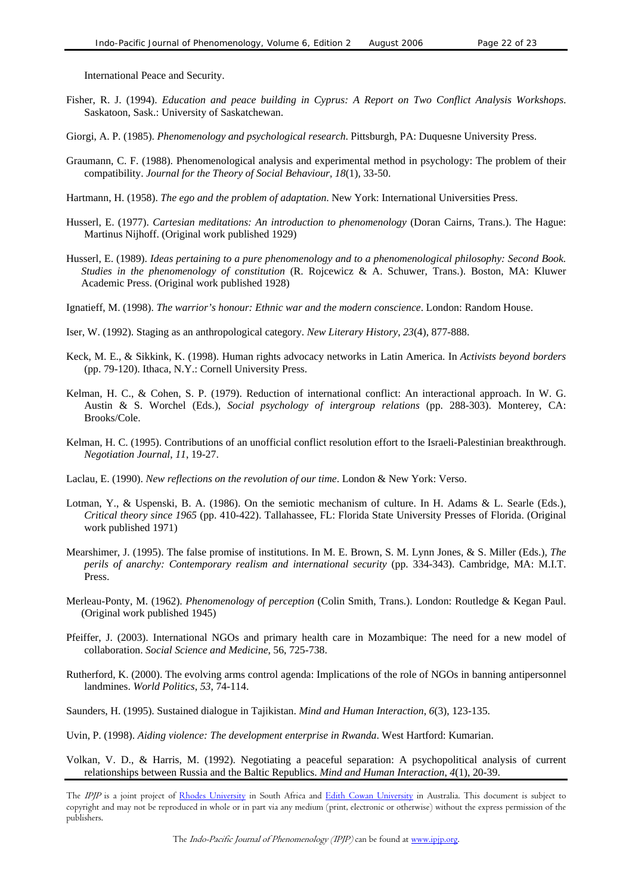International Peace and Security.

- Fisher, R. J. (1994). *Education and peace building in Cyprus: A Report on Two Conflict Analysis Workshops*. Saskatoon, Sask.: University of Saskatchewan.
- Giorgi, A. P. (1985). *Phenomenology and psychological research*. Pittsburgh, PA: Duquesne University Press.
- Graumann, C. F. (1988). Phenomenological analysis and experimental method in psychology: The problem of their compatibility. *Journal for the Theory of Social Behaviour, 18*(1), 33-50.
- Hartmann, H. (1958). *The ego and the problem of adaptation*. New York: International Universities Press.
- Husserl, E. (1977). *Cartesian meditations: An introduction to phenomenology* (Doran Cairns, Trans.). The Hague: Martinus Nijhoff. (Original work published 1929)
- Husserl, E. (1989). *Ideas pertaining to a pure phenomenology and to a phenomenological philosophy: Second Book. Studies in the phenomenology of constitution* (R. Rojcewicz & A. Schuwer, Trans.). Boston, MA: Kluwer Academic Press. (Original work published 1928)
- Ignatieff, M. (1998). *The warrior's honour: Ethnic war and the modern conscience*. London: Random House.
- Iser, W. (1992). Staging as an anthropological category. *New Literary History*, *23*(4), 877-888.
- Keck, M. E., & Sikkink, K. (1998). Human rights advocacy networks in Latin America. In *Activists beyond borders* (pp. 79-120). Ithaca, N.Y.: Cornell University Press.
- Kelman, H. C., & Cohen, S. P. (1979). Reduction of international conflict: An interactional approach. In W. G. Austin & S. Worchel (Eds.), *Social psychology of intergroup relations* (pp. 288-303). Monterey, CA: Brooks/Cole.
- Kelman, H. C. (1995). Contributions of an unofficial conflict resolution effort to the Israeli-Palestinian breakthrough. *Negotiation Journal*, *11*, 19-27.
- Laclau, E. (1990). *New reflections on the revolution of our time*. London & New York: Verso.
- Lotman, Y., & Uspenski, B. A. (1986). On the semiotic mechanism of culture. In H. Adams & L. Searle (Eds.), *Critical theory since 1965* (pp. 410-422). Tallahassee, FL: Florida State University Presses of Florida. (Original work published 1971)
- Mearshimer, J. (1995). The false promise of institutions. In M. E. Brown, S. M. Lynn Jones, & S. Miller (Eds.), *The perils of anarchy: Contemporary realism and international security* (pp. 334-343). Cambridge, MA: M.I.T. Press.
- Merleau-Ponty, M. (1962). *Phenomenology of perception* (Colin Smith, Trans.). London: Routledge & Kegan Paul. (Original work published 1945)
- Pfeiffer, J. (2003). International NGOs and primary health care in Mozambique: The need for a new model of collaboration. *Social Science and Medicine*, 56, 725-738.
- Rutherford, K. (2000). The evolving arms control agenda: Implications of the role of NGOs in banning antipersonnel landmines. *World Politics*, *53*, 74-114.
- Saunders, H. (1995). Sustained dialogue in Tajikistan. *Mind and Human Interaction*, *6*(3), 123-135.
- Uvin, P. (1998). *Aiding violence: The development enterprise in Rwanda*. West Hartford: Kumarian.
- Volkan, V. D., & Harris, M. (1992). Negotiating a peaceful separation: A psychopolitical analysis of current relationships between Russia and the Baltic Republics. *Mind and Human Interaction*, *4*(1), 20-39.

The IPJP is a joint project of Rhodes University in South Africa and Edith Cowan University in Australia. This document is subject to copyright and may not be reproduced in whole or in part via any medium (print, electronic or otherwise) without the express permission of the publishers.